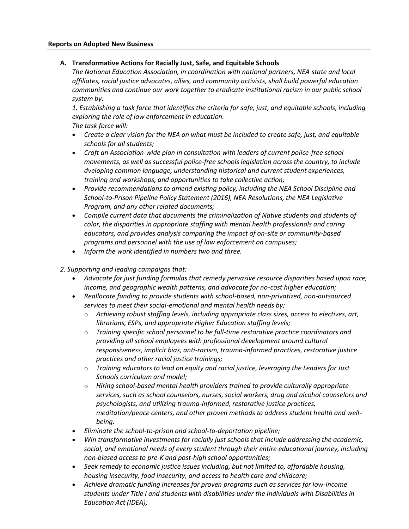#### **Reports on Adopted New Business**

### **A. Transformative Actions for Racially Just, Safe, and Equitable Schools**

*The National Education Association, in coordination with national partners, NEA state and local affiliates, racial justice advocates, allies, and community activists, shall build powerful education communities and continue our work together to eradicate institutional racism in our public school system by:*

*1. Establishing a task force that identifies the criteria for safe, just, and equitable schools, including exploring the role of law enforcement in education.*

*The task force will:*

- *Create a clear vision for the NEA on what must be included to create safe, just, and equitable schools for all students;*
- *Craft an Association-wide plan in consultation with leaders of current police-free school movements, as well as successful police-free schools legislation across the country, to include dveloping common language, understanding historical and current student experiences, training and workshops, and opportunities to take collective action;*
- *Provide recommendations to amend existing policy, including the NEA School Discipline and School-to-Prison Pipeline Policy Statement (2016), NEA Resolutions, the NEA Legislative Program, and any other related documents;*
- *Compile current data that documents the criminalization of Native students and students of color, the disparities in appropriate staffing with mental health professionals and caring educators, and provides analysis comparing the impact of on-site or community-based programs and personnel with the use of law enforcement on campuses;*
- *Inform the work identified in numbers two and three.*
- *2. Supporting and leading campaigns that:*
	- *Advocate for just funding formulas that remedy pervasive resource disparities based upon race, income, and geographic wealth patterns, and advocate for no-cost higher education;*
	- *Reallocate funding to provide students with school-based, non-privatized, non-outsourced services to meet their social-emotional and mental health needs by;*
		- o *Achieving robust staffing levels, including appropriate class sizes, access to electives, art, librarians, ESPs, and appropriate Higher Education staffing levels;*
		- o *Training specific school personnel to be full-time restorative practice coordinators and providing all school employees with professional development around cultural responsiveness, implicit bias, anti-racism, trauma-informed practices, restorative justice practices and other racial justice trainings;*
		- o *Training educators to lead on equity and racial justice, leveraging the Leaders for Just Schools curriculum and model;*
		- o *Hiring school-based mental health providers trained to provide culturally appropriate services, such as school counselors, nurses, social workers, drug and alcohol counselors and psychologists, and utilizing trauma-informed, restorative justice practices, meditation/peace centers, and other proven methods to address student health and wellbeing.*
	- *Eliminate the school-to-prison and school-to-deportation pipeline;*
	- *Win transformative investments for racially just schools that include addressing the academic, social, and emotional needs of every student through their entire educational journey, including non-biased access to pre-K and post-high school opportunities;*
	- *Seek remedy to economic justice issues including, but not limited to, affordable housing, housing insecurity, food insecurity, and access to health care and childcare;*
	- *Achieve dramatic funding increases for proven programs such as services for low-income students under Title I and students with disabilities under the Individuals with Disabilities in Education Act (IDEA);*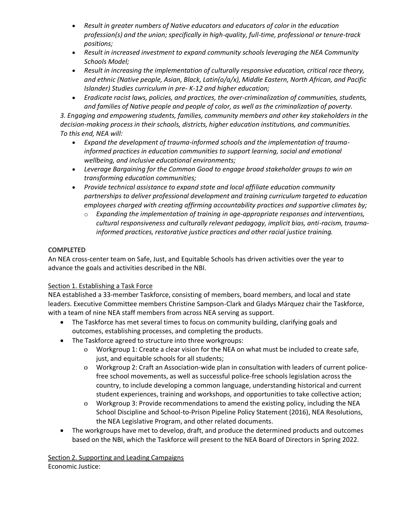- *Result in greater numbers of Native educators and educators of color in the education profession(s) and the union; specifically in high-quality, full-time, professional or tenure-track positions;*
- *Result in increased investment to expand community schools leveraging the NEA Community Schools Model;*
- *Result in increasing the implementation of culturally responsive education, critical race theory, and ethnic (Native people, Asian, Black, Latin(o/a/x), Middle Eastern, North African, and Pacific Islander) Studies curriculum in pre- K-12 and higher education;*
- *Eradicate racist laws, policies, and practices, the over-criminalization of communities, students, and families of Native people and people of color, as well as the criminalization of poverty.*

*3. Engaging and empowering students, families, community members and other key stakeholders in the decision-making process in their schools, districts, higher education institutions, and communities. To this end, NEA will:*

- *Expand the development of trauma-informed schools and the implementation of traumainformed practices in education communities to support learning, social and emotional wellbeing, and inclusive educational environments;*
- *Leverage Bargaining for the Common Good to engage broad stakeholder groups to win on transforming education communities;*
- *Provide technical assistance to expand state and local affiliate education community partnerships to deliver professional development and training curriculum targeted to education employees charged with creating affirming accountability practices and supportive climates by;*
	- o *Expanding the implementation of training in age-appropriate responses and interventions, cultural responsiveness and culturally relevant pedagogy, implicit bias, anti-racism, traumainformed practices, restorative justice practices and other racial justice training.*

# **COMPLETED**

An NEA cross-center team on Safe, Just, and Equitable Schools has driven activities over the year to advance the goals and activities described in the NBI.

## Section 1. Establishing a Task Force

NEA established a 33-member Taskforce, consisting of members, board members, and local and state leaders. Executive Committee members Christine Sampson-Clark and Gladys Márquez chair the Taskforce, with a team of nine NEA staff members from across NEA serving as support.

- The Taskforce has met several times to focus on community building, clarifying goals and outcomes, establishing processes, and completing the products.
- The Taskforce agreed to structure into three workgroups:
	- o Workgroup 1: Create a clear vision for the NEA on what must be included to create safe, just, and equitable schools for all students;
	- o Workgroup 2: Craft an Association-wide plan in consultation with leaders of current policefree school movements, as well as successful police-free schools legislation across the country, to include developing a common language, understanding historical and current student experiences, training and workshops, and opportunities to take collective action;
	- o Workgroup 3: Provide recommendations to amend the existing policy, including the NEA School Discipline and School-to-Prison Pipeline Policy Statement (2016), NEA Resolutions, the NEA Legislative Program, and other related documents.
- The workgroups have met to develop, draft, and produce the determined products and outcomes based on the NBI, which the Taskforce will present to the NEA Board of Directors in Spring 2022.

Section 2. Supporting and Leading Campaigns Economic Justice: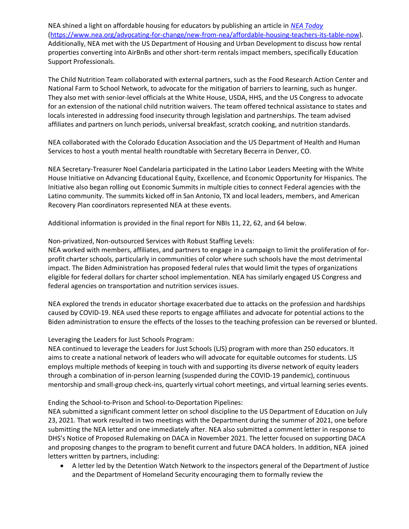NEA shined a light on affordable housing for educators by publishing an article in *[NEA Today](https://www.nea.org/advocating-for-change/new-from-nea/affordable-housing-teachers-its-table-now)* [\(https://www.nea.org/advocating-for-change/new-from-nea/affordable-housing-teachers-its-table-now\)](https://www.nea.org/advocating-for-change/new-from-nea/affordable-housing-teachers-its-table-now). Additionally, NEA met with the US Department of Housing and Urban Development to discuss how rental properties converting into AirBnBs and other short-term rentals impact members, specifically Education Support Professionals.

The Child Nutrition Team collaborated with external partners, such as the Food Research Action Center and National Farm to School Network, to advocate for the mitigation of barriers to learning, such as hunger. They also met with senior-level officials at the White House, USDA, HHS, and the US Congress to advocate for an extension of the national child nutrition waivers. The team offered technical assistance to states and locals interested in addressing food insecurity through legislation and partnerships. The team advised affiliates and partners on lunch periods, universal breakfast, scratch cooking, and nutrition standards.

NEA collaborated with the Colorado Education Association and the US Department of Health and Human Services to host a youth mental health roundtable with Secretary Becerra in Denver, CO.

NEA Secretary-Treasurer Noel Candelaria participated in the Latino Labor Leaders Meeting with the White House Initiative on Advancing Educational Equity, Excellence, and Economic Opportunity for Hispanics. The Initiative also began rolling out Economic Summits in multiple cities to connect Federal agencies with the Latino community. The summits kicked off in San Antonio, TX and local leaders, members, and American Recovery Plan coordinators represented NEA at these events.

Additional information is provided in the final report for NBIs 11, 22, 62, and 64 below.

Non-privatized, Non-outsourced Services with Robust Staffing Levels:

NEA worked with members, affiliates, and partners to engage in a campaign to limit the proliferation of forprofit charter schools, particularly in communities of color where such schools have the most detrimental impact. The Biden Administration has proposed federal rules that would limit the types of organizations eligible for federal dollars for charter school implementation. NEA has similarly engaged US Congress and federal agencies on transportation and nutrition services issues.

NEA explored the trends in educator shortage exacerbated due to attacks on the profession and hardships caused by COVID-19. NEA used these reports to engage affiliates and advocate for potential actions to the Biden administration to ensure the effects of the losses to the teaching profession can be reversed or blunted.

#### Leveraging the Leaders for Just Schools Program:

NEA continued to leverage the Leaders for Just Schools (LJS) program with more than 250 educators. It aims to create a national network of leaders who will advocate for equitable outcomes for students. LJS employs multiple methods of keeping in touch with and supporting its diverse network of equity leaders through a combination of in-person learning (suspended during the COVID-19 pandemic), continuous mentorship and small-group check-ins, quarterly virtual cohort meetings, and virtual learning series events.

Ending the School-to-Prison and School-to-Deportation Pipelines:

NEA submitted a significant comment letter on school discipline to the US Department of Education on July 23, 2021. That work resulted in two meetings with the Department during the summer of 2021, one before submitting the NEA letter and one immediately after. NEA also submitted a comment letter in response to DHS's Notice of Proposed Rulemaking on DACA in November 2021. The letter focused on supporting DACA and proposing changes to the program to benefit current and future DACA holders. In addition, NEA joined letters written by partners, including:

 A letter led by the Detention Watch Network to the inspectors general of the Department of Justice and the Department of Homeland Security encouraging them to formally review the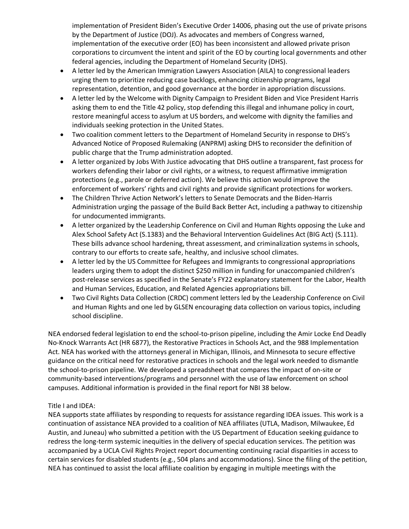implementation of President Biden's Executive Order 14006, phasing out the use of private prisons by the Department of Justice (DOJ). As advocates and members of Congress warned, implementation of the executive order (EO) has been inconsistent and allowed private prison corporations to circumvent the intent and spirit of the EO by courting local governments and other federal agencies, including the Department of Homeland Security (DHS).

- A letter led by the American Immigration Lawyers Association (AILA) to congressional leaders urging them to prioritize reducing case backlogs, enhancing citizenship programs, legal representation, detention, and good governance at the border in appropriation discussions.
- A letter led by the Welcome with Dignity Campaign to President Biden and Vice President Harris asking them to end the Title 42 policy, stop defending this illegal and inhumane policy in court, restore meaningful access to asylum at US borders, and welcome with dignity the families and individuals seeking protection in the United States.
- Two coalition comment letters to the Department of Homeland Security in response to DHS's Advanced Notice of Proposed Rulemaking (ANPRM) asking DHS to reconsider the definition of public charge that the Trump administration adopted.
- A letter organized by Jobs With Justice advocating that DHS outline a transparent, fast process for workers defending their labor or civil rights, or a witness, to request affirmative immigration protections (e.g., parole or deferred action). We believe this action would improve the enforcement of workers' rights and civil rights and provide significant protections for workers.
- The Children Thrive Action Network's letters to Senate Democrats and the Biden-Harris Administration urging the passage of the Build Back Better Act, including a pathway to citizenship for undocumented immigrants.
- A letter organized by the Leadership Conference on Civil and Human Rights opposing the Luke and Alex School Safety Act (S.1383) and the Behavioral Intervention Guidelines Act (BIG Act) (S.111). These bills advance school hardening, threat assessment, and criminalization systems in schools, contrary to our efforts to create safe, healthy, and inclusive school climates.
- A letter led by the US Committee for Refugees and Immigrants to congressional appropriations leaders urging them to adopt the distinct \$250 million in funding for unaccompanied children's post-release services as specified in the Senate's FY22 explanatory statement for the Labor, Health and Human Services, Education, and Related Agencies appropriations bill.
- Two Civil Rights Data Collection (CRDC) comment letters led by the Leadership Conference on Civil and Human Rights and one led by GLSEN encouraging data collection on various topics, including school discipline.

NEA endorsed federal legislation to end the school-to-prison pipeline, including the Amir Locke End Deadly No-Knock Warrants Act (HR 6877), the Restorative Practices in Schools Act, and the 988 Implementation Act. NEA has worked with the attorneys general in Michigan, Illinois, and Minnesota to secure effective guidance on the critical need for restorative practices in schools and the legal work needed to dismantle the school-to-prison pipeline. We developed a spreadsheet that compares the impact of on-site or community-based interventions/programs and personnel with the use of law enforcement on school campuses. Additional information is provided in the final report for NBI 38 below.

## Title I and IDEA:

NEA supports state affiliates by responding to requests for assistance regarding IDEA issues. This work is a continuation of assistance NEA provided to a coalition of NEA affiliates (UTLA, Madison, Milwaukee, Ed Austin, and Juneau) who submitted a petition with the US Department of Education seeking guidance to redress the long-term systemic inequities in the delivery of special education services. The petition was accompanied by a UCLA Civil Rights Project report documenting continuing racial disparities in access to certain services for disabled students (e.g., 504 plans and accommodations). Since the filing of the petition, NEA has continued to assist the local affiliate coalition by engaging in multiple meetings with the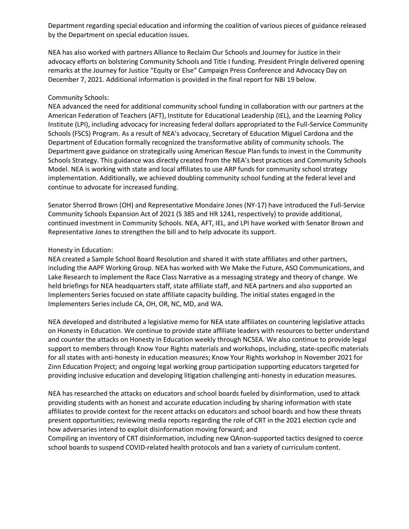Department regarding special education and informing the coalition of various pieces of guidance released by the Department on special education issues.

NEA has also worked with partners Alliance to Reclaim Our Schools and Journey for Justice in their advocacy efforts on bolstering Community Schools and Title I funding. President Pringle delivered opening remarks at the Journey for Justice "Equity or Else" Campaign Press Conference and Advocacy Day on December 7, 2021. Additional information is provided in the final report for NBI 19 below.

#### Community Schools:

NEA advanced the need for additional community school funding in collaboration with our partners at the American Federation of Teachers (AFT), Institute for Educational Leadership (IEL), and the Learning Policy Institute (LPI), including advocacy for increasing federal dollars appropriated to the Full-Service Community Schools (FSCS) Program. As a result of NEA's advocacy, Secretary of Education Miguel Cardona and the Department of Education formally recognized the transformative ability of community schools. The Department gave guidance on strategically using American Rescue Plan funds to invest in the Community Schools Strategy. This guidance was directly created from the NEA's best practices and Community Schools Model. NEA is working with state and local affiliates to use ARP funds for community school strategy implementation. Additionally, we achieved doubling community school funding at the federal level and continue to advocate for increased funding.

Senator Sherrod Brown (OH) and Representative Mondaire Jones (NY-17) have introduced the Full-Service Community Schools Expansion Act of 2021 (S 385 and HR 1241, respectively) to provide additional, continued investment in Community Schools. NEA, AFT, IEL, and LPI have worked with Senator Brown and Representative Jones to strengthen the bill and to help advocate its support.

#### Honesty in Education:

NEA created a Sample School Board Resolution and shared it with state affiliates and other partners, including the AAPF Working Group. NEA has worked with We Make the Future, ASO Communications, and Lake Research to implement the Race Class Narrative as a messaging strategy and theory of change. We held briefings for NEA headquarters staff, state affiliate staff, and NEA partners and also supported an Implementers Series focused on state affiliate capacity building. The initial states engaged in the Implementers Series include CA, OH, OR, NC, MD, and WA.

NEA developed and distributed a legislative memo for NEA state affiliates on countering legislative attacks on Honesty in Education. We continue to provide state affiliate leaders with resources to better understand and counter the attacks on Honesty in Education weekly through NCSEA. We also continue to provide legal support to members through Know Your Rights materials and workshops, including, state-specific materials for all states with anti-honesty in education measures; Know Your Rights workshop in November 2021 for Zinn Education Project; and ongoing legal working group participation supporting educators targeted for providing inclusive education and developing litigation challenging anti-honesty in education measures.

NEA has researched the attacks on educators and school boards fueled by disinformation, used to attack providing students with an honest and accurate education including by sharing information with state affiliates to provide context for the recent attacks on educators and school boards and how these threats present opportunities; reviewing media reports regarding the role of CRT in the 2021 election cycle and how adversaries intend to exploit disinformation moving forward; and

Compiling an inventory of CRT disinformation, including new QAnon-supported tactics designed to coerce school boards to suspend COVID-related health protocols and ban a variety of curriculum content.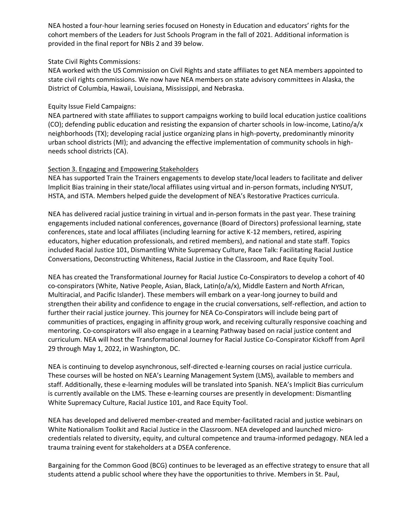NEA hosted a four-hour learning series focused on Honesty in Education and educators' rights for the cohort members of the Leaders for Just Schools Program in the fall of 2021. Additional information is provided in the final report for NBIs 2 and 39 below.

### State Civil Rights Commissions:

NEA worked with the US Commission on Civil Rights and state affiliates to get NEA members appointed to state civil rights commissions. We now have NEA members on state advisory committees in Alaska, the District of Columbia, Hawaii, Louisiana, Mississippi, and Nebraska.

## Equity Issue Field Campaigns:

NEA partnered with state affiliates to support campaigns working to build local education justice coalitions (CO); defending public education and resisting the expansion of charter schools in low-income, Latino/a/x neighborhoods (TX); developing racial justice organizing plans in high-poverty, predominantly minority urban school districts (MI); and advancing the effective implementation of community schools in highneeds school districts (CA).

## Section 3. Engaging and Empowering Stakeholders

NEA has supported Train the Trainers engagements to develop state/local leaders to facilitate and deliver Implicit Bias training in their state/local affiliates using virtual and in-person formats, including NYSUT, HSTA, and ISTA. Members helped guide the development of NEA's Restorative Practices curricula.

NEA has delivered racial justice training in virtual and in-person formats in the past year. These training engagements included national conferences, governance (Board of Directors) professional learning, state conferences, state and local affiliates (including learning for active K-12 members, retired, aspiring educators, higher education professionals, and retired members), and national and state staff. Topics included Racial Justice 101, Dismantling White Supremacy Culture, Race Talk: Facilitating Racial Justice Conversations, Deconstructing Whiteness, Racial Justice in the Classroom, and Race Equity Tool.

NEA has created the Transformational Journey for Racial Justice Co-Conspirators to develop a cohort of 40 co-conspirators (White, Native People, Asian, Black, Latin(o/a/x), Middle Eastern and North African, Multiracial, and Pacific Islander). These members will embark on a year-long journey to build and strengthen their ability and confidence to engage in the crucial conversations, self-reflection, and action to further their racial justice journey. This journey for NEA Co-Conspirators will include being part of communities of practices, engaging in affinity group work, and receiving culturally responsive coaching and mentoring. Co-conspirators will also engage in a Learning Pathway based on racial justice content and curriculum. NEA will host the Transformational Journey for Racial Justice Co-Conspirator Kickoff from April 29 through May 1, 2022, in Washington, DC.

NEA is continuing to develop asynchronous, self-directed e-learning courses on racial justice curricula. These courses will be hosted on NEA's Learning Management System (LMS), available to members and staff. Additionally, these e-learning modules will be translated into Spanish. NEA's Implicit Bias curriculum is currently available on the LMS. These e-learning courses are presently in development: Dismantling White Supremacy Culture, Racial Justice 101, and Race Equity Tool.

NEA has developed and delivered member-created and member-facilitated racial and justice webinars on White Nationalism Toolkit and Racial Justice in the Classroom. NEA developed and launched microcredentials related to diversity, equity, and cultural competence and trauma-informed pedagogy. NEA led a trauma training event for stakeholders at a DSEA conference.

Bargaining for the Common Good (BCG) continues to be leveraged as an effective strategy to ensure that all students attend a public school where they have the opportunities to thrive. Members in St. Paul,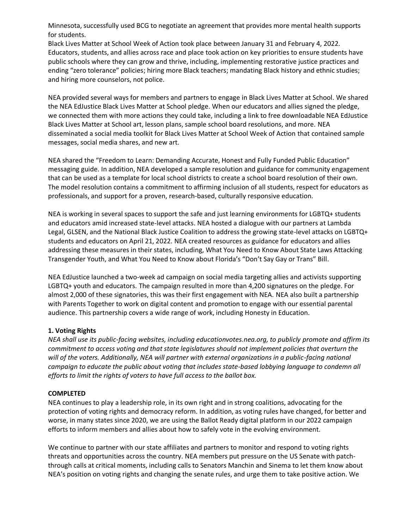Minnesota, successfully used BCG to negotiate an agreement that provides more mental health supports for students.

Black Lives Matter at School Week of Action took place between January 31 and February 4, 2022. Educators, students, and allies across race and place took action on key priorities to ensure students have public schools where they can grow and thrive, including, implementing restorative justice practices and ending "zero tolerance" policies; hiring more Black teachers; mandating Black history and ethnic studies; and hiring more counselors, not police.

NEA provided several ways for members and partners to engage in Black Lives Matter at School. We shared the NEA EdJustice Black Lives Matter at School pledge. When our educators and allies signed the pledge, we connected them with more actions they could take, including a link to free downloadable NEA EdJustice Black Lives Matter at School art, lesson plans, sample school board resolutions, and more. NEA disseminated a social media toolkit for Black Lives Matter at School Week of Action that contained sample messages, social media shares, and new art.

NEA shared the "Freedom to Learn: Demanding Accurate, Honest and Fully Funded Public Education" messaging guide. In addition, NEA developed a sample resolution and guidance for community engagement that can be used as a template for local school districts to create a school board resolution of their own. The model resolution contains a commitment to affirming inclusion of all students, respect for educators as professionals, and support for a proven, research-based, culturally responsive education.

NEA is working in several spaces to support the safe and just learning environments for LGBTQ+ students and educators amid increased state-level attacks. NEA hosted a dialogue with our partners at Lambda Legal, GLSEN, and the National Black Justice Coalition to address the growing state-level attacks on LGBTQ+ students and educators on April 21, 2022. NEA created resources as guidance for educators and allies addressing these measures in their states, including, What You Need to Know About State Laws Attacking Transgender Youth, and What You Need to Know about Florida's "Don't Say Gay or Trans" Bill.

NEA EdJustice launched a two-week ad campaign on social media targeting allies and activists supporting LGBTQ+ youth and educators. The campaign resulted in more than 4,200 signatures on the pledge. For almost 2,000 of these signatories, this was their first engagement with NEA. NEA also built a partnership with Parents Together to work on digital content and promotion to engage with our essential parental audience. This partnership covers a wide range of work, including Honesty in Education.

#### **1. Voting Rights**

*NEA shall use its public-facing websites, including educationvotes.nea.org, to publicly promote and affirm its commitment to access voting and that state legislatures should not implement policies that overturn the will of the voters. Additionally, NEA will partner with external organizations in a public-facing national campaign to educate the public about voting that includes state-based lobbying language to condemn all efforts to limit the rights of voters to have full access to the ballot box.*

#### **COMPLETED**

NEA continues to play a leadership role, in its own right and in strong coalitions, advocating for the protection of voting rights and democracy reform. In addition, as voting rules have changed, for better and worse, in many states since 2020, we are using the Ballot Ready digital platform in our 2022 campaign efforts to inform members and allies about how to safely vote in the evolving environment.

We continue to partner with our state affiliates and partners to monitor and respond to voting rights threats and opportunities across the country. NEA members put pressure on the US Senate with patchthrough calls at critical moments, including calls to Senators Manchin and Sinema to let them know about NEA's position on voting rights and changing the senate rules, and urge them to take positive action. We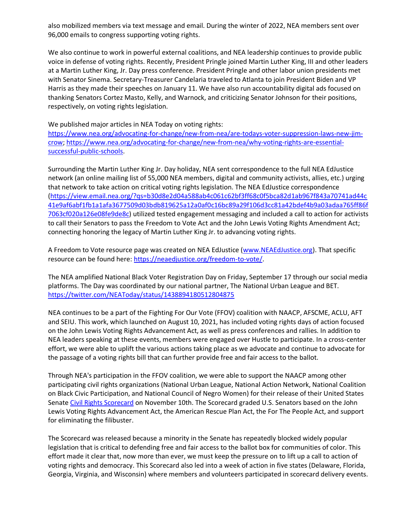also mobilized members via text message and email. During the winter of 2022, NEA members sent over 96,000 emails to congress supporting voting rights.

We also continue to work in powerful external coalitions, and NEA leadership continues to provide public voice in defense of voting rights. Recently, President Pringle joined Martin Luther King, III and other leaders at a Martin Luther King, Jr. Day press conference. President Pringle and other labor union presidents met with Senator Sinema. Secretary-Treasurer Candelaria traveled to Atlanta to join President Biden and VP Harris as they made their speeches on January 11. We have also run accountability digital ads focused on thanking Senators Cortez Masto, Kelly, and Warnock, and criticizing Senator Johnson for their positions, respectively, on voting rights legislation.

We published major articles in NEA Today on voting rights:

[https://www.nea.org/advocating-for-change/new-from-nea/are-todays-voter-suppression-laws-new-jim](https://www.nea.org/advocating-for-change/new-from-nea/are-todays-voter-suppression-laws-new-jim-crow)[crow;](https://www.nea.org/advocating-for-change/new-from-nea/are-todays-voter-suppression-laws-new-jim-crow) [https://www.nea.org/advocating-for-change/new-from-nea/why-voting-rights-are-essential](https://www.nea.org/advocating-for-change/new-from-nea/why-voting-rights-are-essential-successful-public-schools)[successful-public-schools.](https://www.nea.org/advocating-for-change/new-from-nea/why-voting-rights-are-essential-successful-public-schools)

Surrounding the Martin Luther King Jr. Day holiday, NEA sent correspondence to the full NEA EdJustice network (an online mailing list of 55,000 NEA members, digital and community activists, allies, etc.) urging that network to take action on critical voting rights legislation. The NEA EdJustice correspondence [\(https://view.email.nea.org/?qs=b30d8e2d04a588ab4c061c62bf3ff68c0f5bca82d1ab967f843a70741ad44c](https://view.email.nea.org/?qs=b30d8e2d04a588ab4c061c62bf3ff68c0f5bca82d1ab967f843a70741ad44c41e9af6abf1fb1a1afa3677509d03bdb819625a12a0af0c16bc89a29f106d3cc81a42bdef4b9a03adaa765ff86f7063cf020a126e08fe9de8c) [41e9af6abf1fb1a1afa3677509d03bdb819625a12a0af0c16bc89a29f106d3cc81a42bdef4b9a03adaa765ff86f](https://view.email.nea.org/?qs=b30d8e2d04a588ab4c061c62bf3ff68c0f5bca82d1ab967f843a70741ad44c41e9af6abf1fb1a1afa3677509d03bdb819625a12a0af0c16bc89a29f106d3cc81a42bdef4b9a03adaa765ff86f7063cf020a126e08fe9de8c) [7063cf020a126e08fe9de8c\)](https://view.email.nea.org/?qs=b30d8e2d04a588ab4c061c62bf3ff68c0f5bca82d1ab967f843a70741ad44c41e9af6abf1fb1a1afa3677509d03bdb819625a12a0af0c16bc89a29f106d3cc81a42bdef4b9a03adaa765ff86f7063cf020a126e08fe9de8c) utilized tested engagement messaging and included a call to action for activists to call their Senators to pass the Freedom to Vote Act and the John Lewis Voting Rights Amendment Act; connecting honoring the legacy of Martin Luther King Jr. to advancing voting rights.

A Freedom to Vote resource page was created on NEA EdJustice [\(www.NEAEdJustice.org\)](http://www.neaedjustice.org/). That specific resource can be found here: [https://neaedjustice.org/freedom-to-vote/.](https://neaedjustice.org/freedom-to-vote/)

The NEA amplified National Black Voter Registration Day on Friday, September 17 through our social media platforms. The Day was coordinated by our national partner, The National Urban League and BET. <https://twitter.com/NEAToday/status/1438894180512804875>

NEA continues to be a part of the Fighting For Our Vote (FFOV) coalition with NAACP, AFSCME, ACLU, AFT and SEIU. This work, which launched on August 10, 2021, has included voting rights days of action focused on the John Lewis Voting Rights Advancement Act, as well as press conferences and rallies. In addition to NEA leaders speaking at these events, members were engaged over Hustle to participate. In a cross-center effort, we were able to uplift the various actions taking place as we advocate and continue to advocate for the passage of a voting rights bill that can further provide free and fair access to the ballot.

Through NEA's participation in the FFOV coalition, we were able to support the NAACP among other participating civil rights organizations (National Urban League, National Action Network, National Coalition on Black Civic Participation, and National Council of Negro Women) for their release of their United States Senate [Civil Rights Scorecard](https://naacp.org/campaigns/civil-rights-scorecard) on November 10th. The Scorecard graded U.S. Senators based on the John Lewis Voting Rights Advancement Act, the American Rescue Plan Act, the For The People Act, and support for eliminating the filibuster.

The Scorecard was released because a minority in the Senate has repeatedly blocked widely popular legislation that is critical to defending free and fair access to the ballot box for communities of color. This effort made it clear that, now more than ever, we must keep the pressure on to lift up a call to action of voting rights and democracy. This Scorecard also led into a week of action in five states (Delaware, Florida, Georgia, Virginia, and Wisconsin) where members and volunteers participated in scorecard delivery events.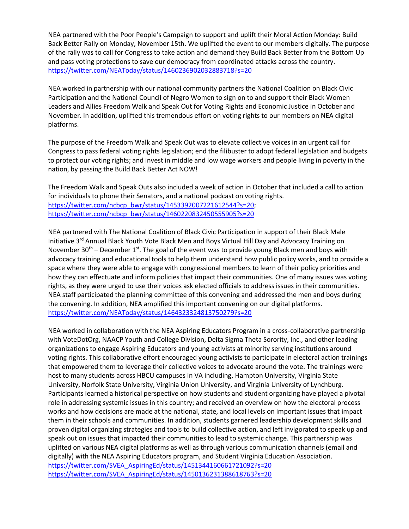NEA partnered with the Poor People's Campaign to support and uplift their Moral Action Monday: Build Back Better Rally on Monday, November 15th. We uplifted the event to our members digitally. The purpose of the rally was to call for Congress to take action and demand they Build Back Better from the Bottom Up and pass voting protections to save our democracy from coordinated attacks across the country. <https://twitter.com/NEAToday/status/1460236902032883718?s=20>

NEA worked in partnership with our national community partners the National Coalition on Black Civic Participation and the National Council of Negro Women to sign on to and support their Black Women Leaders and Allies Freedom Walk and Speak Out for Voting Rights and Economic Justice in October and November. In addition, uplifted this tremendous effort on voting rights to our members on NEA digital platforms.

The purpose of the Freedom Walk and Speak Out was to elevate collective voices in an urgent call for Congress to pass federal voting rights legislation; end the filibuster to adopt federal legislation and budgets to protect our voting rights; and invest in middle and low wage workers and people living in poverty in the nation, by passing the Build Back Better Act NOW!

The Freedom Walk and Speak Outs also included a week of action in October that included a call to action for individuals to phone their Senators, and a national podcast on voting rights. [https://twitter.com/ncbcp\\_bwr/status/1453392007221612544?s=20;](https://twitter.com/ncbcp_bwr/status/1453392007221612544?s=20) [https://twitter.com/ncbcp\\_bwr/status/1460220832450555905?s=20](https://twitter.com/ncbcp_bwr/status/1460220832450555905?s=20)

NEA partnered with The National Coalition of Black Civic Participation in support of their Black Male Initiative 3<sup>rd</sup> Annual Black Youth Vote Black Men and Boys Virtual Hill Day and Advocacy Training on November  $30<sup>th</sup>$  – December 1<sup>st</sup>. The goal of the event was to provide young Black men and boys with advocacy training and educational tools to help them understand how public policy works, and to provide a space where they were able to engage with congressional members to learn of their policy priorities and how they can effectuate and inform policies that impact their communities. One of many issues was voting rights, as they were urged to use their voices ask elected officials to address issues in their communities. NEA staff participated the planning committee of this convening and addressed the men and boys during the convening. In addition, NEA amplified this important convening on our digital platforms. <https://twitter.com/NEAToday/status/1464323324813750279?s=20>

NEA worked in collaboration with the NEA Aspiring Educators Program in a cross-collaborative partnership with VoteDotOrg, NAACP Youth and College Division, Delta Sigma Theta Sorority, Inc., and other leading organizations to engage Aspiring Educators and young activists at minority serving institutions around voting rights. This collaborative effort encouraged young activists to participate in electoral action trainings that empowered them to leverage their collective voices to advocate around the vote. The trainings were host to many students across HBCU campuses in VA including, Hampton University, Virginia State University, Norfolk State University, Virginia Union University, and Virginia University of Lynchburg. Participants learned a historical perspective on how students and student organizing have played a pivotal role in addressing systemic issues in this country; and received an overview on how the electoral process works and how decisions are made at the national, state, and local levels on important issues that impact them in their schools and communities. In addition, students garnered leadership development skills and proven digital organizing strategies and tools to build collective action, and left invigorated to speak up and speak out on issues that impacted their communities to lead to systemic change. This partnership was uplifted on various NEA digital platforms as well as through various communication channels (email and digitally) with the NEA Aspiring Educators program, and Student Virginia Education Association. [https://twitter.com/SVEA\\_AspiringEd/status/1451344160661721092?s=20](https://twitter.com/SVEA_AspiringEd/status/1451344160661721092?s=20) [https://twitter.com/SVEA\\_AspiringEd/status/1450136231388618763?s=20](https://twitter.com/SVEA_AspiringEd/status/1450136231388618763?s=20)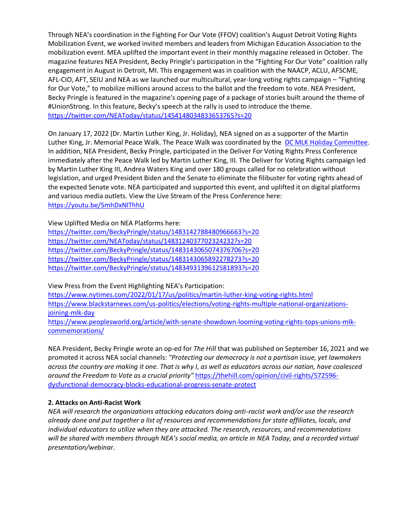Through NEA's coordination in the Fighting For Our Vote (FFOV) coalition's August Detroit Voting Rights Mobilization Event, we worked invited members and leaders from Michigan Education Association to the mobilization event. MEA uplifted the important event in their monthly magazine released in October. The magazine features NEA President, Becky Pringle's participation in the "Fighting For Our Vote" coalition rally engagement in August in Detroit, MI. This engagement was in coalition with the NAACP, ACLU, AFSCME, AFL-CIO, AFT, SEIU and NEA as we launched our multicultural, year-long voting rights campaign – "Fighting for Our Vote," to mobilize millions around access to the ballot and the freedom to vote. NEA President, Becky Pringle is featured in the magazine's opening page of a package of stories built around the theme of #UnionStrong. In this feature, Becky's speech at the rally is used to introduce the theme. <https://twitter.com/NEAToday/status/1454148034833653765?s=20>

On January 17, 2022 (Dr. Martin Luther King, Jr. Holiday), NEA signed on as a supporter of the Martin Luther King, Jr. Memorial Peace Walk. The Peace Walk was coordinated by the [DC MLK Holiday Committee.](https://mlkholidaydc.org/) In addition, NEA President, Becky Pringle, participated in the Deliver For Voting Rights Press Conference immediately after the Peace Walk led by Martin Luther King, III. The Deliver for Voting Rights campaign led by Martin Luther King III, Andrea Waters King and over 180 groups called for no celebration without legislation, and urged President Biden and the Senate to eliminate the filibuster for voting rights ahead of the expected Senate vote. NEA participated and supported this event, and uplifted it on digital platforms and various media outlets. View the Live Stream of the Press Conference here: <https://youtu.be/5mhDxNlThhU>

View Uplifted Media on NEA Platforms here:

<https://twitter.com/BeckyPringle/status/1483142788480966663?s=20> <https://twitter.com/NEAToday/status/1483124037702324232?s=20> <https://twitter.com/BeckyPringle/status/1483143065074376706?s=20> <https://twitter.com/BeckyPringle/status/1483143065892278273?s=20> <https://twitter.com/BeckyPringle/status/1483493139612581893?s=20>

View Press from the Event Highlighting NEA's Participation:

<https://www.nytimes.com/2022/01/17/us/politics/martin-luther-king-voting-rights.html> [https://www.blackstarnews.com/us-politics/elections/voting-rights-multiple-national-organizations](https://www.blackstarnews.com/us-politics/elections/voting-rights-multiple-national-organizations-joining-mlk-day)[joining-mlk-day](https://www.blackstarnews.com/us-politics/elections/voting-rights-multiple-national-organizations-joining-mlk-day)

[https://www.peoplesworld.org/article/with-senate-showdown-looming-voting-rights-tops-unions-mlk](https://www.peoplesworld.org/article/with-senate-showdown-looming-voting-rights-tops-unions-mlk-commemorations/)[commemorations/](https://www.peoplesworld.org/article/with-senate-showdown-looming-voting-rights-tops-unions-mlk-commemorations/)

NEA President, Becky Pringle wrote an op-ed for *The Hill* that was published on September 16, 2021 and we promoted it across NEA social channels: *"Protecting our democracy is not a partisan issue, yet lawmakers across the country are making it one. That is why I, as well as educators across our nation, have coalesced around the Freedom to Vote as a crucial priority"* [https://thehill.com/opinion/civil-rights/572596](https://thehill.com/opinion/civil-rights/572596-dysfunctional-democracy-blocks-educational-progress-senate-protect) [dysfunctional-democracy-blocks-educational-progress-senate-protect](https://thehill.com/opinion/civil-rights/572596-dysfunctional-democracy-blocks-educational-progress-senate-protect)

## **2. Attacks on Anti-Racist Work**

*NEA will research the organizations attacking educators doing anti-racist work and/or use the research already done and put together a list of resources and recommendations for state affiliates, locals, and individual educators to utilize when they are attacked. The research, resources, and recommendations will be shared with members through NEA's social media, an article in NEA Today, and a recorded virtual presentation/webinar.*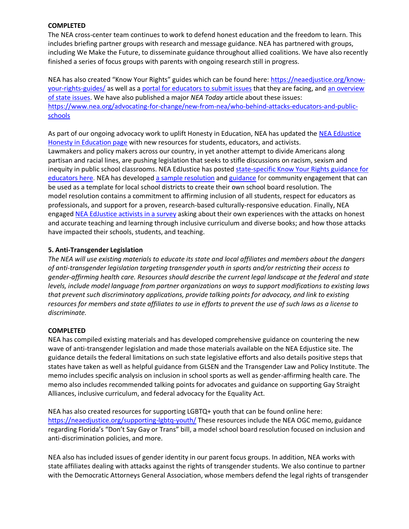### **COMPLETED**

The NEA cross-center team continues to work to defend honest education and the freedom to learn. This includes briefing partner groups with research and message guidance. NEA has partnered with groups, including We Make the Future, to disseminate guidance throughout allied coalitions. We have also recently finished a series of focus groups with parents with ongoing research still in progress.

NEA has also created "Know Your Rights" guides which can be found here: [https://neaedjustice.org/know](https://neaedjustice.org/know-your-rights-guides/)[your-rights-guides/](https://neaedjustice.org/know-your-rights-guides/) as well as a [portal for educators to submit issues](https://secure.ngpvan.com/PzbiOlL1hEeRZU78nuZeag2) that they are facing, and [an overview](https://neaedjustice.org/wp-content/uploads/2021/08/2021.8.18-KYR_post.pdf)  [of state issues.](https://neaedjustice.org/wp-content/uploads/2021/08/2021.8.18-KYR_post.pdf) We have also published a major *NEA Today* article about these issues: [https://www.nea.org/advocating-for-change/new-from-nea/who-behind-attacks-educators-and-public](https://www.nea.org/advocating-for-change/new-from-nea/who-behind-attacks-educators-and-public-schools)[schools](https://www.nea.org/advocating-for-change/new-from-nea/who-behind-attacks-educators-and-public-schools)

As part of our ongoing advocacy work to uplift Honesty in Education, NEA has updated the [NEA EdJustice](https://neaedjustice.org/honesty-in-education/)  [Honesty in Education page](https://neaedjustice.org/honesty-in-education/) with new resources for students, educators, and activists. Lawmakers and policy makers across our country, in yet another attempt to divide Americans along partisan and racial lines, are pushing legislation that seeks to stifle discussions on racism, sexism and inequity in public school classrooms. NEA EdJustice has posted state-specific Know Your Rights guidance for [educators here.](https://neaedjustice.org/know-your-rights-guides/) NEA has develope[d a sample resolution](https://neaedjustice.org/wp-content/uploads/2021/10/2021.10.1-Model-School-Bd-Reso-Template.docx) and [guidance](https://neaedjustice.org/wp-content/uploads/2021/10/Model-SB-Resolution.10.2021.Guidance-for-Engagement.docx) for community engagement that can be used as a template for local school districts to create their own school board resolution. The model resolution contains a commitment to affirming inclusion of all students, respect for educators as professionals, and support for a proven, research-based culturally-responsive education. Finally, NEA engage[d NEA EdJustice activists in a survey](file:///C:/Users/arichardson/Downloads/How%20have%20the%20attacks%20on%20honest%20and%20accurate%20teaching%20and%20learning%20through%20inclusive%20curriculum%20and%20diverse%20books%20impacted%20your%20schools,%20students,%20and%20teaching%3f) asking about their own experiences with the attacks on honest and accurate teaching and learning through inclusive curriculum and diverse books; and how those attacks have impacted their schools, students, and teaching.

## **5. Anti-Transgender Legislation**

*The NEA will use existing materials to educate its state and local affiliates and members about the dangers of anti-transgender legislation targeting transgender youth in sports and/or restricting their access to gender-affirming health care. Resources should describe the current legal landscape at the federal and state levels, include model language from partner organizations on ways to support modifications to existing laws that prevent such discriminatory applications, provide talking points for advocacy, and link to existing resources for members and state affiliates to use in efforts to prevent the use of such laws as a license to discriminate.*

#### **COMPLETED**

NEA has compiled existing materials and has developed comprehensive guidance on countering the new wave of anti-transgender legislation and made those materials available on the NEA Edjustice site. The guidance details the federal limitations on such state legislative efforts and also details positive steps that states have taken as well as helpful guidance from GLSEN and the Transgender Law and Policy Institute. The memo includes specific analysis on inclusion in school sports as well as gender-affirming health care. The memo also includes recommended talking points for advocates and guidance on supporting Gay Straight Alliances, inclusive curriculum, and federal advocacy for the Equality Act.

NEA has also created resources for supporting LGBTQ+ youth that can be found online here: <https://neaedjustice.org/supporting-lgbtq-youth/> These resources include the NEA OGC memo, guidance regarding Florida's "Don't Say Gay or Trans" bill, a model school board resolution focused on inclusion and anti-discrimination policies, and more.

NEA also has included issues of gender identity in our parent focus groups. In addition, NEA works with state affiliates dealing with attacks against the rights of transgender students. We also continue to partner with the Democratic Attorneys General Association, whose members defend the legal rights of transgender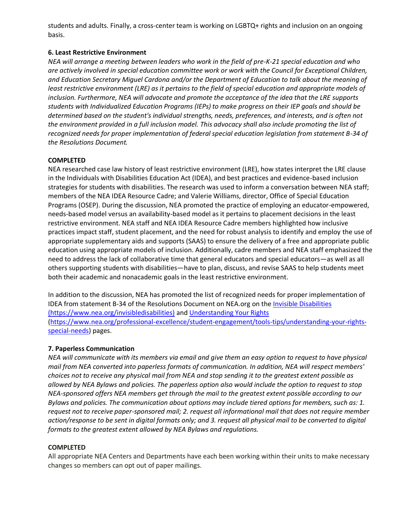students and adults. Finally, a cross-center team is working on LGBTQ+ rights and inclusion on an ongoing basis.

### **6. Least Restrictive Environment**

*NEA will arrange a meeting between leaders who work in the field of pre-K-21 special education and who are actively involved in special education committee work or work with the Council for Exceptional Children, and Education Secretary Miguel Cardona and/or the Department of Education to talk about the meaning of least restrictive environment (LRE) as it pertains to the field of special education and appropriate models of inclusion. Furthermore, NEA will advocate and promote the acceptance of the idea that the LRE supports students with Individualized Education Programs (IEPs) to make progress on their IEP goals and should be determined based on the student's individual strengths, needs, preferences, and interests, and is often not the environment provided in a full inclusion model. This advocacy shall also include promoting the list of recognized needs for proper implementation of federal special education legislation from statement B-34 of the Resolutions Document.*

## **COMPLETED**

NEA researched case law history of least restrictive environment (LRE), how states interpret the LRE clause in the Individuals with Disabilities Education Act (IDEA), and best practices and evidence-based inclusion strategies for students with disabilities. The research was used to inform a conversation between NEA staff; members of the NEA IDEA Resource Cadre; and Valerie Williams, director, Office of Special Education Programs (OSEP). During the discussion, NEA promoted the practice of employing an educator-empowered, needs-based model versus an availability-based model as it pertains to placement decisions in the least restrictive environment. NEA staff and NEA IDEA Resource Cadre members highlighted how inclusive practices impact staff, student placement, and the need for robust analysis to identify and employ the use of appropriate supplementary aids and supports (SAAS) to ensure the delivery of a free and appropriate public education using appropriate models of inclusion. Additionally, cadre members and NEA staff emphasized the need to address the lack of collaborative time that general educators and special educators—as well as all others supporting students with disabilities—have to plan, discuss, and revise SAAS to help students meet both their academic and nonacademic goals in the least restrictive environment.

In addition to the discussion, NEA has promoted the list of recognized needs for proper implementation of IDEA from statement B-34 of the Resolutions Document on NEA.org on the [Invisible Disabilities](https://www.nea.org/invisibledisabilities) (https://www.nea.org/invisibledisabilities) an[d Understanding Your Rights](https://www.nea.org/professional-excellence/student-engagement/tools-tips/understanding-your-rights-special-needs) [\(https://www.nea.org/professional-excellence/student-engagement/tools-tips/understanding-your-rights](https://www.nea.org/professional-excellence/student-engagement/tools-tips/understanding-your-rights-special-needs)[special-needs\)](https://www.nea.org/professional-excellence/student-engagement/tools-tips/understanding-your-rights-special-needs) pages.

## **7. Paperless Communication**

*NEA will communicate with its members via email and give them an easy option to request to have physical mail from NEA converted into paperless formats of communication. In addition, NEA will respect members' choices not to receive any physical mail from NEA and stop sending it to the greatest extent possible as allowed by NEA Bylaws and policies. The paperless option also would include the option to request to stop NEA-sponsored offers NEA members get through the mail to the greatest extent possible according to our Bylaws and policies. The communication about options may include tiered options for members, such as: 1. request not to receive paper-sponsored mail; 2. request all informational mail that does not require member action/response to be sent in digital formats only; and 3. request all physical mail to be converted to digital formats to the greatest extent allowed by NEA Bylaws and regulations.*

#### **COMPLETED**

All appropriate NEA Centers and Departments have each been working within their units to make necessary changes so members can opt out of paper mailings.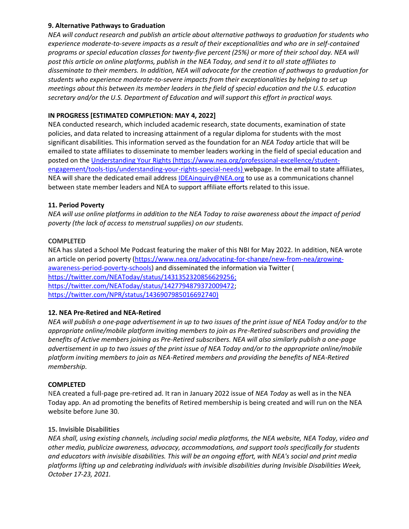### **9. Alternative Pathways to Graduation**

*NEA will conduct research and publish an article about alternative pathways to graduation for students who experience moderate-to-severe impacts as a result of their exceptionalities and who are in self-contained programs or special education classes for twenty-five percent (25%) or more of their school day. NEA will post this article on online platforms, publish in the NEA Today, and send it to all state affiliates to disseminate to their members. In addition, NEA will advocate for the creation of pathways to graduation for students who experience moderate-to-severe impacts from their exceptionalities by helping to set up meetings about this between its member leaders in the field of special education and the U.S. education secretary and/or the U.S. Department of Education and will support this effort in practical ways.*

## **IN PROGRESS [ESTIMATED COMPLETION: MAY 4, 2022]**

NEA conducted research, which included academic research, state documents, examination of state policies, and data related to increasing attainment of a regular diploma for students with the most significant disabilities. This information served as the foundation for an *NEA Today* article that will be emailed to state affiliates to disseminate to member leaders working in the field of special education and posted on the [Understanding Your Rights](https://www.nea.org/professional-excellence/student-engagement/tools-tips/understanding-your-rights-special-needs) (https://www.nea.org/professional-excellence/studentengagement/tools-tips/understanding-your-rights-special-needs) webpage. In the email to state affiliates, NEA will share the dedicated email address [IDEAinquiry@NEA.org](mailto:IDEAinquiry@NEA.org) to use as a communications channel between state member leaders and NEA to support affiliate efforts related to this issue.

## **11. Period Poverty**

*NEA will use online platforms in addition to the NEA Today to raise awareness about the impact of period poverty (the lack of access to menstrual supplies) on our students.* 

## **COMPLETED**

NEA has slated a School Me Podcast featuring the maker of this NBI for May 2022. In addition, NEA wrote an article on period poverty [\(https://www.nea.org/advocating-for-change/new-from-nea/growing](https://www.nea.org/advocating-for-change/new-from-nea/growing-awareness-period-poverty-schools)[awareness-period-poverty-schools\)](https://www.nea.org/advocating-for-change/new-from-nea/growing-awareness-period-poverty-schools) and disseminated the information via Twitter ( [https://twitter.com/NEAToday/status/1431352320856629256;](https://twitter.com/NEAToday/status/1431352320856629256) [https://twitter.com/NEAToday/status/1427794879372009472;](https://twitter.com/NEAToday/status/1427794879372009472) [https://twitter.com/NPR/status/1436907985016692740\)](https://twitter.com/NPR/status/1436907985016692740)

## **12. NEA Pre-Retired and NEA-Retired**

*NEA will publish a one-page advertisement in up to two issues of the print issue of NEA Today and/or to the appropriate online/mobile platform inviting members to join as Pre-Retired subscribers and providing the benefits of Active members joining as Pre-Retired subscribers. NEA will also similarly publish a one-page advertisement in up to two issues of the print issue of NEA Today and/or to the appropriate online/mobile platform inviting members to join as NEA-Retired members and providing the benefits of NEA-Retired membership.*

#### **COMPLETED**

NEA created a full-page pre-retired ad. It ran in January 2022 issue of *NEA Today* as well as in the NEA Today app. An ad promoting the benefits of Retired membership is being created and will run on the NEA website before June 30.

#### **15. Invisible Disabilities**

*NEA shall, using existing channels, including social media platforms, the NEA website, NEA Today, video and other media, publicize awareness, advocacy, accommodations, and support tools specifically for students and educators with invisible disabilities. This will be an ongoing effort, with NEA's social and print media platforms lifting up and celebrating individuals with invisible disabilities during Invisible Disabilities Week, October 17-23, 2021.*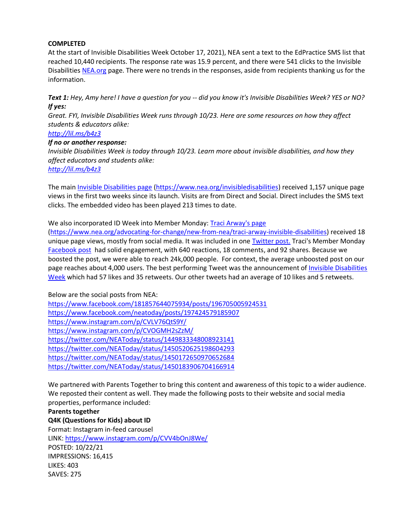### **COMPLETED**

At the start of Invisible Disabilities Week October 17, 2021), NEA sent a text to the EdPractice SMS list that reached 10,440 recipients. The response rate was 15.9 percent, and there were 541 clicks to the Invisible Disabilitie[s NEA.org](http://nea.org/) page. There were no trends in the responses, aside from recipients thanking us for the information.

*Text 1: Hey, Amy here! I have a question for you -- did you know it's Invisible Disabilities Week? YES or NO? If yes:*

*Great. FYI, Invisible Disabilities Week runs through 10/23. Here are some resources on how they affect students & educators alike:*

## *<http://lil.ms/b4z3>*

#### *If no or another response:*

*Invisible Disabilities Week is today through 10/23. Learn more about invisible disabilities, and how they affect educators and students alike:*

*<http://lil.ms/b4z3>*

The main [Invisible Disabilities page](https://www.nea.org/invisibledisabilities) [\(https://www.nea.org/invisibledisabilities\)](https://www.nea.org/invisibledisabilities) received 1,157 unique page views in the first two weeks since its launch. Visits are from Direct and Social. Direct includes the SMS text clicks. The embedded video has been played 213 times to date.

#### We also incorporated ID Week into Member Monday: [Traci Arway's page](https://www.nea.org/advocating-for-change/new-from-nea/traci-arway-invisible-disabilities)

[\(https://www.nea.org/advocating-for-change/new-from-nea/traci-arway-invisible-disabilities\)](https://www.nea.org/advocating-for-change/new-from-nea/traci-arway-invisible-disabilities) received 18 unique page views, mostly from social media. It was included in one [Twitter post.](https://twitter.com/NEAToday/status/1450183906704166914) Traci's Member Monday [Facebook post](https://www.facebook.com/neatoday/posts/197424579185907) had solid engagement, with 640 reactions, 18 comments, and 92 shares. Because we boosted the post, we were able to reach 24k,000 people. For context, the average unboosted post on our page reaches about 4,000 users. The best performing Tweet was the announcement of Invisible Disabilities [Week](https://twitter.com/NEAToday/status/1449833348008923141) which had 57 likes and 35 retweets. Our other tweets had an average of 10 likes and 5 retweets.

Below are the social posts from NEA: <https://www.facebook.com/181857644075934/posts/196705005924531> <https://www.facebook.com/neatoday/posts/197424579185907> <https://www.instagram.com/p/CVLV76QtS9Y/> <https://www.instagram.com/p/CVOGMH2sZzM/> <https://twitter.com/NEAToday/status/1449833348008923141> <https://twitter.com/NEAToday/status/1450520625198604293> <https://twitter.com/NEAToday/status/1450172650970652684> <https://twitter.com/NEAToday/status/1450183906704166914>

We partnered with Parents Together to bring this content and awareness of this topic to a wider audience. We reposted their content as well. They made the following posts to their website and social media properties, performance included:

**Parents together Q4K (Questions for Kids) about ID** Format: Instagram in-feed carousel LINK[: https://www.instagram.com/p/CVV4bOnJ8We/](https://www.instagram.com/p/CVV4bOnJ8We/) POSTED: 10/22/21 IMPRESSIONS: 16,415 LIKES: 403 SAVES: 275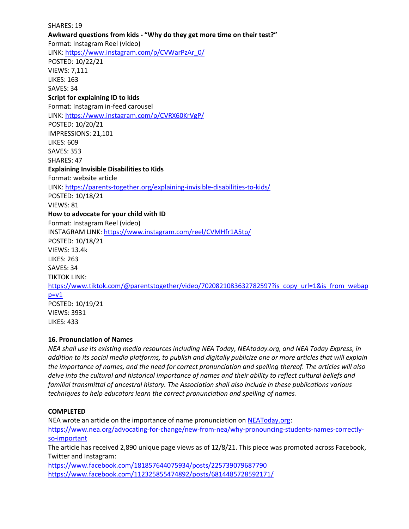SHARES: 19 **Awkward questions from kids - "Why do they get more time on their test?"** Format: Instagram Reel (video) LINK[: https://www.instagram.com/p/CVWarPzAr\\_0/](https://www.instagram.com/p/CVWarPzAr_0/) POSTED: 10/22/21 VIEWS: 7,111 LIKES: 163 SAVES: 34 **Script for explaining ID to kids** Format: Instagram in-feed carousel LINK[: https://www.instagram.com/p/CVRX60KrVgP/](https://www.instagram.com/p/CVRX60KrVgP/) POSTED: 10/20/21 IMPRESSIONS: 21,101 LIKES: 609 SAVES: 353 SHARES: 47 **Explaining Invisible Disabilities to Kids** Format: website article LINK[: https://parents-together.org/explaining-invisible-disabilities-to-kids/](https://parents-together.org/explaining-invisible-disabilities-to-kids/) POSTED: 10/18/21 VIEWS: 81 **How to advocate for your child with ID** Format: Instagram Reel (video) INSTAGRAM LINK[: https://www.instagram.com/reel/CVMHfr1A5tp/](https://www.instagram.com/reel/CVMHfr1A5tp/) POSTED: 10/18/21 VIEWS: 13.4k LIKES: 263 SAVES: 34 TIKTOK LINK: [https://www.tiktok.com/@parentstogether/video/7020821083632782597?is\\_copy\\_url=1&is\\_from\\_webap](https://www.tiktok.com/@parentstogether/video/7020821083632782597?is_copy_url=1&is_from_webapp=v1)  $p=v1$ POSTED: 10/19/21 VIEWS: 3931 LIKES: 433

#### **16. Pronunciation of Names**

*NEA shall use its existing media resources including NEA Today, NEAtoday.org, and NEA Today Express, in addition to its social media platforms, to publish and digitally publicize one or more articles that will explain the importance of names, and the need for correct pronunciation and spelling thereof. The articles will also delve into the cultural and historical importance of names and their ability to reflect cultural beliefs and familial transmittal of ancestral history. The Association shall also include in these publications various techniques to help educators learn the correct pronunciation and spelling of names.*

#### **COMPLETED**

NEA wrote an article on the importance of name pronunciation on [NEAToday.org:](http://neatoday.org/) [https://www.nea.org/advocating-for-change/new-from-nea/why-pronouncing-students-names-correctly](https://www.nea.org/advocating-for-change/new-from-nea/why-pronouncing-students-names-correctly-so-important)[so-important](https://www.nea.org/advocating-for-change/new-from-nea/why-pronouncing-students-names-correctly-so-important) The article has received 2,890 unique page views as of 12/8/21. This piece was promoted across Facebook, Twitter and Instagram: <https://www.facebook.com/181857644075934/posts/225739079687790> <https://www.facebook.com/112325855474892/posts/6814485728592171/>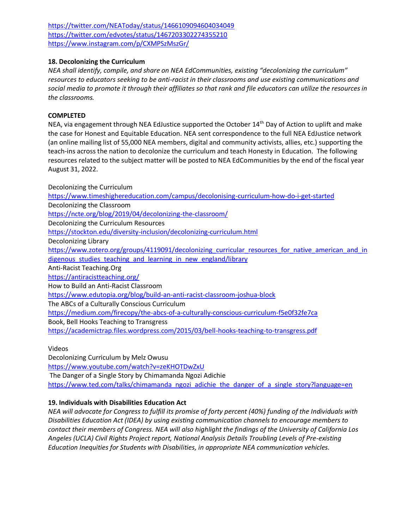<https://twitter.com/NEAToday/status/1466109094604034049> <https://twitter.com/edvotes/status/1467203302274355210> <https://www.instagram.com/p/CXMPSzMszGr/>

### **18. Decolonizing the Curriculum**

*NEA shall identify, compile, and share on NEA EdCommunities, existing "decolonizing the curriculum" resources to educators seeking to be anti-racist in their classrooms and use existing communications and social media to promote it through their affiliates so that rank and file educators can utilize the resources in the classrooms.*

### **COMPLETED**

NEA, via engagement through NEA EdJustice supported the October 14<sup>th</sup> Day of Action to uplift and make the case for Honest and Equitable Education. NEA sent correspondence to the full NEA EdJustice network (an online mailing list of 55,000 NEA members, digital and community activists, allies, etc.) supporting the teach-ins across the nation to decolonize the curriculum and teach Honesty in Education. The following resources related to the subject matter will be posted to NEA EdCommunities by the end of the fiscal year August 31, 2022.

Decolonizing the Curriculum <https://www.timeshighereducation.com/campus/decolonising-curriculum-how-do-i-get-started> Decolonizing the Classroom <https://ncte.org/blog/2019/04/decolonizing-the-classroom/> Decolonizing the Curriculum Resources <https://stockton.edu/diversity-inclusion/decolonizing-curriculum.html> Decolonizing Library https://www.zotero.org/groups/4119091/decolonizing curricular resources for native american and in digenous studies teaching and learning in new england/library Anti-Racist Teaching.Org <https://antiracistteaching.org/> How to Build an Anti-Racist Classroom <https://www.edutopia.org/blog/build-an-anti-racist-classroom-joshua-block> The ABCs of a Culturally Conscious Curriculum <https://medium.com/firecopy/the-abcs-of-a-culturally-conscious-curriculum-f5e0f32fe7ca> Book, Bell Hooks Teaching to Transgress <https://academictrap.files.wordpress.com/2015/03/bell-hooks-teaching-to-transgress.pdf>

Videos

Decolonizing Curriculum by Melz Owusu <https://www.youtube.com/watch?v=zeKHOTDwZxU> The Danger of a Single Story by Chimamanda Ngozi Adichie [https://www.ted.com/talks/chimamanda\\_ngozi\\_adichie\\_the\\_danger\\_of\\_a\\_single\\_story?language=en](https://www.ted.com/talks/chimamanda_ngozi_adichie_the_danger_of_a_single_story?language=en)

## **19. Individuals with Disabilities Education Act**

*NEA will advocate for Congress to fulfill its promise of forty percent (40%) funding of the Individuals with Disabilities Education Act (IDEA) by using existing communication channels to encourage members to contact their members of Congress. NEA will also highlight the findings of the University of California Los Angeles (UCLA) Civil Rights Project report, National Analysis Details Troubling Levels of Pre-existing Education Inequities for Students with Disabilities, in appropriate NEA communication vehicles.*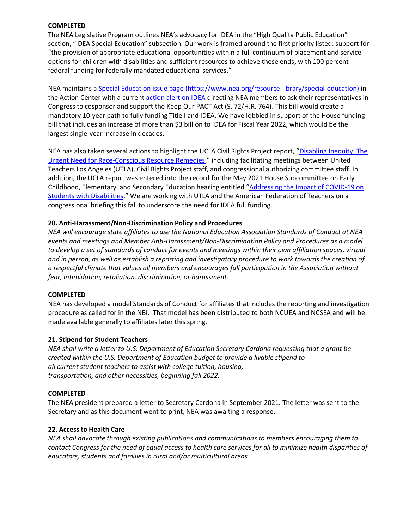#### **COMPLETED**

The NEA Legislative Program outlines NEA's advocacy for IDEA in the "High Quality Public Education" section, "IDEA Special Education" subsection. Our work is framed around the first priority listed: support for "the provision of appropriate educational opportunities within a full continuum of placement and service options for children with disabilities and sufficient resources to achieve these ends**,** with 100 percent federal funding for federally mandated educational services."

NEA maintains [a Special Education issue page](https://www.nea.org/resource-library/special-education) (https://www.nea.org/resource-library/special-education) in the Action Center with a current [action alert on IDEA](https://www.nea.org/advocating-for-change/action-center/take-action/fully-fund-idea-title-i) directing NEA members to ask their representatives in Congress to cosponsor and support the Keep Our PACT Act (S. 72/H.R. 764). This bill would create a mandatory 10-year path to fully funding Title I and IDEA. We have lobbied in support of the House funding bill that includes an increase of more than \$3 billion to IDEA for Fiscal Year 2022, which would be the largest single-year increase in decades.

NEA has also taken several actions to highlight the UCLA Civil Rights Project report, "[Disabling Inequity: The](https://www.civilrightsproject.ucla.edu/research/k-12-education/special-education/disabling-inequity-the-urgent-need-for-race-conscious-resource-remedies/final-Report-03-22-21-v5-corrected.pdf)  [Urgent Need for Race-Conscious Resource Remedies](https://www.civilrightsproject.ucla.edu/research/k-12-education/special-education/disabling-inequity-the-urgent-need-for-race-conscious-resource-remedies/final-Report-03-22-21-v5-corrected.pdf)," including facilitating meetings between United Teachers Los Angeles (UTLA), Civil Rights Project staff, and congressional authorizing committee staff. In addition, the UCLA report was entered into the record for the May 2021 House Subcommittee on Early Childhood, Elementary, and Secondary Education hearing entitled "[Addressing the Impact of COVID-19 on](https://www.youtube.com/watch?v=svLe9_gbTt8)  [Students with Disabilities](https://www.youtube.com/watch?v=svLe9_gbTt8)." We are working with UTLA and the American Federation of Teachers on a congressional briefing this fall to underscore the need for IDEA full funding.

#### **20. Anti-Harassment/Non-Discrimination Policy and Procedures**

*NEA will encourage state affiliates to use the National Education Association Standards of Conduct at NEA events and meetings and Member Anti-Harassment/Non-Discrimination Policy and Procedures as a model to develop a set of standards of conduct for events and meetings within their own affiliation spaces, virtual and in person, as well as establish a reporting and investigatory procedure to work towards the creation of a respectful climate that values all members and encourages full participation in the Association without fear, intimidation, retaliation, discrimination, or harassment.*

#### **COMPLETED**

NEA has developed a model Standards of Conduct for affiliates that includes the reporting and investigation procedure as called for in the NBI. That model has been distributed to both NCUEA and NCSEA and will be made available generally to affiliates later this spring.

#### **21. Stipend for Student Teachers**

*NEA shall write a letter to U.S. Department of Education Secretary Cardona requesting that a grant be created within the U.S. Department of Education budget to provide a livable stipend to all current student teachers to assist with college tuition, housing, transportation, and other necessities, beginning fall 2022.*

#### **COMPLETED**

The NEA president prepared a letter to Secretary Cardona in September 2021. The letter was sent to the Secretary and as this document went to print, NEA was awaiting a response.

#### **22. Access to Health Care**

*NEA shall advocate through existing publications and communications to members encouraging them to contact Congress for the need of equal access to health care services for all to minimize health disparities of educators, students and families in rural and/or multicultural areas.*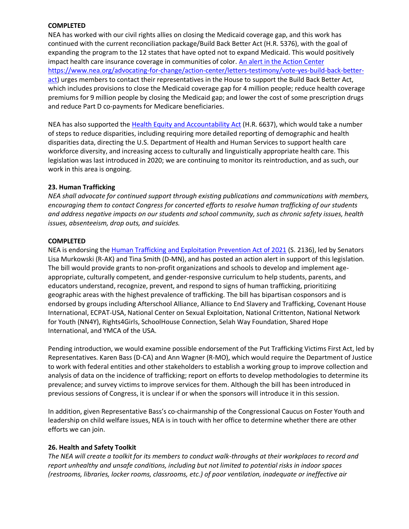#### **COMPLETED**

NEA has worked with our civil rights allies on closing the Medicaid coverage gap, and this work has continued with the current reconciliation package/Build Back Better Act (H.R. 5376), with the goal of expanding the program to the 12 states that have opted not to expand Medicaid. This would positively impact health care insurance coverage in communities of color. [An alert in the Action](https://www.nea.org/advocating-for-change/action-center/letters-testimony/vote-yes-build-back-better-act) Center [https://www.nea.org/advocating-for-change/action-center/letters-testimony/vote-yes-build-back-better](https://www.nea.org/advocating-for-change/action-center/letters-testimony/vote-yes-build-back-better-act)[act\)](https://www.nea.org/advocating-for-change/action-center/letters-testimony/vote-yes-build-back-better-act) urges members to contact their representatives in the House to support the Build Back Better Act, which includes provisions to close the Medicaid coverage gap for 4 million people; reduce health coverage premiums for 9 million people by closing the Medicaid gap; and lower the cost of some prescription drugs and reduce Part D co-payments for Medicare beneficiaries.

NEA has also supported the [Health Equity and Accountability Act](https://www.apiahf.org/focus/health-equity/heaa/) (H.R. 6637), which would take a number of steps to reduce disparities, including requiring more detailed reporting of demographic and health disparities data, directing the U.S. Department of Health and Human Services to support health care workforce diversity, and increasing access to culturally and linguistically appropriate health care. This legislation was last introduced in 2020; we are continuing to monitor its reintroduction, and as such, our work in this area is ongoing.

#### **23. Human Trafficking**

*NEA shall advocate for continued support through existing publications and communications with members, encouraging them to contact Congress for concerted efforts to resolve human trafficking of our students and address negative impacts on our students and school community, such as chronic safety issues, health issues, absenteeism, drop outs, and suicides.*

#### **COMPLETED**

NEA is endorsing the [Human Trafficking and Exploitation Prevention Act of 2021](https://www.murkowski.senate.gov/imo/media/doc/06.14.21%20-%20Final%20Human%20Trafficking%20and%20Exploitation%20Prevention%20Training%20Act%20of%202021-One%20Pager%20(1).pdf) (S. 2136), led by Senators Lisa Murkowski (R-AK) and Tina Smith (D-MN), and has posted an action alert in support of this legislation. The bill would provide grants to non-profit organizations and schools to develop and implement ageappropriate, culturally competent, and gender-responsive curriculum to help students, parents, and educators understand, recognize, prevent, and respond to signs of human trafficking, prioritizing geographic areas with the highest prevalence of trafficking. The bill has bipartisan cosponsors and is endorsed by groups including Afterschool Alliance, Alliance to End Slavery and Trafficking, Covenant House International, ECPAT-USA, National Center on Sexual Exploitation, National Crittenton, National Network for Youth (NN4Y), Rights4Girls, SchoolHouse Connection, Selah Way Foundation, Shared Hope International, and YMCA of the USA.

Pending introduction, we would examine possible endorsement of the Put Trafficking Victims First Act, led by Representatives. Karen Bass (D-CA) and Ann Wagner (R-MO), which would require the Department of Justice to work with federal entities and other stakeholders to establish a working group to improve collection and analysis of data on the incidence of trafficking; report on efforts to develop methodologies to determine its prevalence; and survey victims to improve services for them. Although the bill has been introduced in previous sessions of Congress, it is unclear if or when the sponsors will introduce it in this session.

In addition, given Representative Bass's co-chairmanship of the Congressional Caucus on Foster Youth and leadership on child welfare issues, NEA is in touch with her office to determine whether there are other efforts we can join.

#### **26. Health and Safety Toolkit**

*The NEA will create a toolkit for its members to conduct walk-throughs at their workplaces to record and report unhealthy and unsafe conditions, including but not limited to potential risks in indoor spaces (restrooms, libraries, locker rooms, classrooms, etc.) of poor ventilation, inadequate or ineffective air*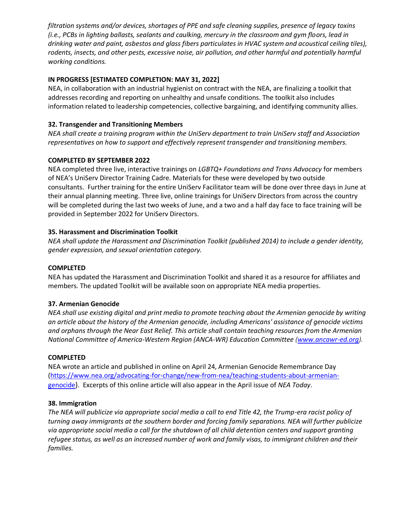*filtration systems and/or devices, shortages of PPE and safe cleaning supplies, presence of legacy toxins (i.e., PCBs in lighting ballasts, sealants and caulking, mercury in the classroom and gym floors, lead in drinking water and paint, asbestos and glass fibers particulates in HVAC system and acoustical ceiling tiles),*  rodents, insects, and other pests, excessive noise, air pollution, and other harmful and potentially harmful *working conditions.*

## **IN PROGRESS [ESTIMATED COMPLETION: MAY 31, 2022]**

NEA, in collaboration with an industrial hygienist on contract with the NEA, are finalizing a toolkit that addresses recording and reporting on unhealthy and unsafe conditions. The toolkit also includes information related to leadership competencies, collective bargaining, and identifying community allies.

## **32. Transgender and Transitioning Members**

*NEA shall create a training program within the UniServ department to train UniServ staff and Association representatives on how to support and effectively represent transgender and transitioning members.*

#### **COMPLETED BY SEPTEMBER 2022**

NEA completed three live, interactive trainings on *LGBTQ+ Foundations and Trans Advocacy* for members of NEA's UniServ Director Training Cadre. Materials for these were developed by two outside consultants. Further training for the entire UniServ Facilitator team will be done over three days in June at their annual planning meeting. Three live, online trainings for UniServ Directors from across the country will be completed during the last two weeks of June, and a two and a half day face to face training will be provided in September 2022 for UniServ Directors.

#### **35. Harassment and Discrimination Toolkit**

*NEA shall update the Harassment and Discrimination Toolkit (published 2014) to include a gender identity, gender expression, and sexual orientation category.*

#### **COMPLETED**

NEA has updated the Harassment and Discrimination Toolkit and shared it as a resource for affiliates and members. The updated Toolkit will be available soon on appropriate NEA media properties.

#### **37. Armenian Genocide**

*NEA shall use existing digital and print media to promote teaching about the Armenian genocide by writing an article about the history of the Armenian genocide, including Americans' assistance of genocide victims and orphans through the Near East Relief. This article shall contain teaching resources from the Armenian National Committee of America-Western Region (ANCA-WR) Education Committee [\(www.ancawr-ed.org\)](http://www.ancawr-ed.org/)*.

#### **COMPLETED**

NEA wrote an article and published in online on April 24, Armenian Genocide Remembrance Day [\(https://www.nea.org/advocating-for-change/new-from-nea/teaching-students-about-armenian](https://www.nea.org/advocating-for-change/new-from-nea/teaching-students-about-armenian-genocide)[genocide](https://www.nea.org/advocating-for-change/new-from-nea/teaching-students-about-armenian-genocide)). Excerpts of this online article will also appear in the April issue of *NEA Today*.

#### **38. Immigration**

*The NEA will publicize via appropriate social media a call to end Title 42, the Trump-era racist policy of turning away immigrants at the southern border and forcing family separations. NEA will further publicize via appropriate social media a call for the shutdown of all child detention centers and support granting refugee status, as well as an increased number of work and family visas, to immigrant children and their families.*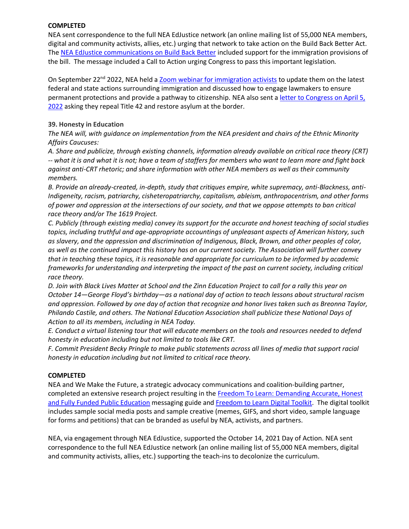### **COMPLETED**

NEA sent correspondence to the full NEA EdJustice network (an online mailing list of 55,000 NEA members, digital and community activists, allies, etc.) urging that network to take action on the Build Back Better Act. The [NEA EdJustice communications on Build Back Better](https://view.email.nea.org/?qs=913b7196046b4f9d612bafe8f8babc452e068d0c5556457c83ca3a2889ba4ba52c5d9540348dc5aed44ef7d3bd666739602f351ebdcc00d1ce6c831b5be927095c937897cb26d8daf45730b1068d87c0f263ddf11b5d4813) included support for the immigration provisions of the bill. The message included a Call to Action urging Congress to pass this important legislation.

On September 22<sup>nd</sup> 2022, NEA held a [Zoom webinar for immigration activists](https://view.email.nea.org/?qs=c60e297868ac09e4a8c31525b3d8565991741278359e61f74b493059afedffe8491b0a7ac6fd7265ffa771759b2c09fc7a07ebaf962a39a73b1e5f5d1bf9c193af42b5ec100dbd09074720bef825a1ce) to update them on the latest federal and state actions surrounding immigration and discussed how to engage lawmakers to ensure permanent protections and provide a pathway to citizenship. NEA also sent a [letter to Congress on April 5,](https://www.nea.org/advocating-for-change/action-center/letters-testimony/repeal-title-42-and-restore-asylum-border)  [2022](https://www.nea.org/advocating-for-change/action-center/letters-testimony/repeal-title-42-and-restore-asylum-border) asking they repeal Title 42 and restore asylum at the border.

## **39. Honesty in Education**

*The NEA will, with guidance on implementation from the NEA president and chairs of the Ethnic Minority Affairs Caucuses:*

*A. Share and publicize, through existing channels, information already available on critical race theory (CRT) -- what it is and what it is not; have a team of staffers for members who want to learn more and fight back against anti-CRT rhetoric; and share information with other NEA members as well as their community members.*

*B. Provide an already-created, in-depth, study that critiques empire, white supremacy, anti-Blackness, anti-Indigeneity, racism, patriarchy, cisheteropatriarchy, capitalism, ableism, anthropocentrism, and other forms of power and oppression at the intersections of our society, and that we oppose attempts to ban critical race theory and/or The 1619 Project.*

*C. Publicly (through existing media) convey its support for the accurate and honest teaching of social studies topics, including truthful and age-appropriate accountings of unpleasant aspects of American history, such as slavery, and the oppression and discrimination of Indigenous, Black, Brown, and other peoples of color, as well as the continued impact this history has on our current society. The Association will further convey that in teaching these topics, it is reasonable and appropriate for curriculum to be informed by academic frameworks for understanding and interpreting the impact of the past on current society, including critical race theory.*

*D. Join with Black Lives Matter at School and the Zinn Education Project to call for a rally this year on October 14—George Floyd's birthday—as a national day of action to teach lessons about structural racism and oppression. Followed by one day of action that recognize and honor lives taken such as Breonna Taylor, Philando Castile, and others. The National Education Association shall publicize these National Days of Action to all its members, including in NEA Today.*

*E. Conduct a virtual listening tour that will educate members on the tools and resources needed to defend honesty in education including but not limited to tools like CRT.*

*F. Commit President Becky Pringle to make public statements across all lines of media that support racial honesty in education including but not limited to critical race theory.*

#### **COMPLETED**

NEA and We Make the Future, a strategic advocacy communications and coalition-building partner, completed an extensive research project resulting in the [Freedom To Learn: Demanding Accurate, Honest](https://www.wemakethefuture.us/resources-docs/freedom-to-learn-messaging-guide)  [and Fully Funded Public Education](https://www.wemakethefuture.us/resources-docs/freedom-to-learn-messaging-guide) messaging guide and [Freedom to Learn Digital Toolkit.](https://docs.google.com/document/d/1TpCMLLpaqa-LT5tq4M1oe_CriKR2VtfR-ZGoTv08MuY/edit) The digital toolkit includes sample social media posts and sample creative (memes, GIFS, and short video, sample language for forms and petitions) that can be branded as useful by NEA, activists, and partners.

NEA, via engagement through NEA EdJustice, supported the October 14, 2021 Day of Action. NEA sent correspondence to the full NEA EdJustice network (an online mailing list of 55,000 NEA members, digital and community activists, allies, etc.) supporting the teach-ins to decolonize the curriculum.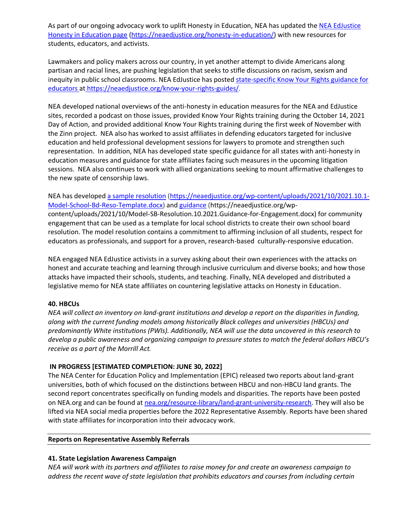As part of our ongoing advocacy work to uplift Honesty in Education, NEA has updated the NEA EdJustice [Honesty in Education page](https://neaedjustice.org/honesty-in-education/) [\(https://neaedjustice.org/honesty-in-education/\)](https://neaedjustice.org/honesty-in-education/) with new resources for students, educators, and activists.

Lawmakers and policy makers across our country, in yet another attempt to divide Americans along partisan and racial lines, are pushing legislation that seeks to stifle discussions on racism, sexism and inequity in public school classrooms. NEA EdJustice has posted state-specific Know Your Rights guidance for [educators at](state-specific%20Know%20Your%20Rights%20guidance%20for%20educators%20at) https://neaedjustice.org/know-your-rights-guides/.

NEA developed national overviews of the anti-honesty in education measures for the NEA and EdJustice sites, recorded a podcast on those issues, provided Know Your Rights training during the October 14, 2021 Day of Action, and provided additional Know Your Rights training during the first week of November with the Zinn project. NEA also has worked to assist affiliates in defending educators targeted for inclusive education and held professional development sessions for lawyers to promote and strengthen such representation. In addition, NEA has developed state specific guidance for all states with anti-honesty in education measures and guidance for state affiliates facing such measures in the upcoming litigation sessions. NEA also continues to work with allied organizations seeking to mount affirmative challenges to the new spate of censorship laws.

## NEA has develope[d a sample resolution](https://neaedjustice.org/wp-content/uploads/2021/10/2021.10.1-Model-School-Bd-Reso-Template.docx) [\(https://neaedjustice.org/wp-content/uploads/2021/10/2021.10.1-](https://neaedjustice.org/wp-content/uploads/2021/10/2021.10.1-Model-School-Bd-Reso-Template.docx) [Model-School-Bd-Reso-Template.docx\)](https://neaedjustice.org/wp-content/uploads/2021/10/2021.10.1-Model-School-Bd-Reso-Template.docx) and [guidance](https://neaedjustice.org/wp-content/uploads/2021/10/Model-SB-Resolution.10.2021.Guidance-for-Engagement.docx) (https://neaedjustice.org/wp-

content/uploads/2021/10/Model-SB-Resolution.10.2021.Guidance-for-Engagement.docx) for community engagement that can be used as a template for local school districts to create their own school board resolution. The model resolution contains a commitment to affirming inclusion of all students, respect for educators as professionals, and support for a proven, research-based culturally-responsive education.

NEA engaged NEA EdJustice activists in a survey asking about their own experiences with the attacks on honest and accurate teaching and learning through inclusive curriculum and diverse books; and how those attacks have impacted their schools, students, and teaching. Finally, NEA developed and distributed a [legislative memo for NEA state affiliates on countering legislative attacks on Honesty in Education.](https://neahq-my.sharepoint.com/personal/sreddy_nea_org/_layouts/15/onedrive.aspx?id=%2Fpersonal%2Fsreddy%5Fnea%5Forg%2FDocuments%2FMicrosoft%20Teams%20Chat%20Files%2F2022%2E3%2E8%20Advocating%20for%20Freedom%20to%20Learn%20%2D%20Countering%20Legislative%20Attacks%20%2Epdf&parent=%2Fpersonal%2Fsreddy%5Fnea%5Forg%2FDocuments%2FMicrosoft%20Teams%20Chat%20Files&ga=1)

## **40. HBCUs**

*NEA will collect an inventory on land-grant institutions and develop a report on the disparities in funding, along with the current funding models among historically Black colleges and universities (HBCUs) and predominantly White institutions (PWIs). Additionally, NEA will use the data uncovered in this research to develop a public awareness and organizing campaign to pressure states to match the federal dollars HBCU's receive as a part of the Morrill Act.*

## **IN PROGRESS [ESTIMATED COMPLETION: JUNE 30, 2022]**

The NEA Center for Education Policy and Implementation (EPIC) released two reports about land-grant universities, both of which focused on the distinctions between HBCU and non-HBCU land grants. The second report concentrates specifically on funding models and disparities. The reports have been posted on NEA.org and can be found at [nea.org/resource-library/land-grant-university-research.](https://www.nea.org/resource-library/land-grant-university-research) They will also be lifted via NEA social media properties before the 2022 Representative Assembly. Reports have been shared with state affiliates for incorporation into their advocacy work.

#### **Reports on Representative Assembly Referrals**

## **41. State Legislation Awareness Campaign**

*NEA will work with its partners and affiliates to raise money for and create an awareness campaign to address the recent wave of state legislation that prohibits educators and courses from including certain*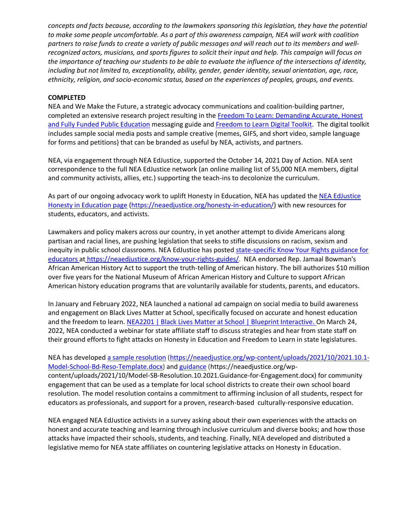*concepts and facts because, according to the lawmakers sponsoring this legislation, they have the potential to make some people uncomfortable. As a part of this awareness campaign, NEA will work with coalition partners to raise funds to create a variety of public messages and will reach out to its members and wellrecognized actors, musicians, and sports figures to solicit their input and help. This campaign will focus on the importance of teaching our students to be able to evaluate the influence of the intersections of identity, including but not limited to, exceptionality, ability, gender, gender identity, sexual orientation, age, race, ethnicity, religion, and socio-economic status, based on the experiences of peoples, groups, and events.*

#### **COMPLETED**

NEA and We Make the Future, a strategic advocacy communications and coalition-building partner, completed an extensive research project resulting in the [Freedom To Learn: Demanding Accurate, Honest](https://www.wemakethefuture.us/resources-docs/freedom-to-learn-messaging-guide)  [and Fully Funded Public Education](https://www.wemakethefuture.us/resources-docs/freedom-to-learn-messaging-guide) messaging guide and [Freedom to Learn Digital Toolkit.](https://docs.google.com/document/d/1TpCMLLpaqa-LT5tq4M1oe_CriKR2VtfR-ZGoTv08MuY/edit) The digital toolkit includes sample social media posts and sample creative (memes, GIFS, and short video, sample language for forms and petitions) that can be branded as useful by NEA, activists, and partners.

NEA, via engagement through NEA EdJustice, supported the October 14, 2021 Day of Action. NEA sent correspondence to the full NEA EdJustice network (an online mailing list of 55,000 NEA members, digital and community activists, allies, etc.) supporting the teach-ins to decolonize the curriculum.

As part of our ongoing advocacy work to uplift Honesty in Education, NEA has updated the NEA EdJustice [Honesty in Education page](https://neaedjustice.org/honesty-in-education/) [\(https://neaedjustice.org/honesty-in-education/\)](https://neaedjustice.org/honesty-in-education/) with new resources for students, educators, and activists.

Lawmakers and policy makers across our country, in yet another attempt to divide Americans along partisan and racial lines, are pushing legislation that seeks to stifle discussions on racism, sexism and inequity in public school classrooms. NEA EdJustice has posted state-specific Know Your Rights guidance for [educators at](state-specific%20Know%20Your%20Rights%20guidance%20for%20educators%20at) https://neaedjustice.org/know-your-rights-guides/. NEA endorsed Rep. Jamaal Bowman's African American History Act to support the truth-telling of American history. The bill authorizes \$10 million over five years for the National Museum of African American History and Culture to support African American history education programs that are voluntarily available for students, parents, and educators.

In January and February 2022, NEA launched a national ad campaign on social media to build awareness and engagement on Black Lives Matter at School, specifically focused on accurate and honest education and the freedom to learn. [NEA2201 | Black Lives Matter at School | Blueprint Interactive.](https://clients.blueprintinteractive.com/ads/nea2201) On March 24, 2022, NEA conducted a webinar for state affiliate staff to discuss strategies and hear from state staff on their ground efforts to fight attacks on Honesty in Education and Freedom to Learn in state legislatures.

NEA has develope[d a sample resolution](https://neaedjustice.org/wp-content/uploads/2021/10/2021.10.1-Model-School-Bd-Reso-Template.docx) [\(https://neaedjustice.org/wp-content/uploads/2021/10/2021.10.1-](https://neaedjustice.org/wp-content/uploads/2021/10/2021.10.1-Model-School-Bd-Reso-Template.docx) [Model-School-Bd-Reso-Template.docx\)](https://neaedjustice.org/wp-content/uploads/2021/10/2021.10.1-Model-School-Bd-Reso-Template.docx) and [guidance](https://neaedjustice.org/wp-content/uploads/2021/10/Model-SB-Resolution.10.2021.Guidance-for-Engagement.docx) (https://neaedjustice.org/wpcontent/uploads/2021/10/Model-SB-Resolution.10.2021.Guidance-for-Engagement.docx) for community engagement that can be used as a template for local school districts to create their own school board resolution. The model resolution contains a commitment to affirming inclusion of all students, respect for educators as professionals, and support for a proven, research-based culturally-responsive education.

NEA engaged NEA EdJustice activists in a survey asking about their own experiences with the attacks on honest and accurate teaching and learning through inclusive curriculum and diverse books; and how those attacks have impacted their schools, students, and teaching. Finally, NEA developed and distributed a [legislative memo for NEA state affiliates on countering legislative attacks on Honesty in Education.](https://neahq-my.sharepoint.com/personal/sreddy_nea_org/_layouts/15/onedrive.aspx?id=%2Fpersonal%2Fsreddy%5Fnea%5Forg%2FDocuments%2FMicrosoft%20Teams%20Chat%20Files%2F2022%2E3%2E8%20Advocating%20for%20Freedom%20to%20Learn%20%2D%20Countering%20Legislative%20Attacks%20%2Epdf&parent=%2Fpersonal%2Fsreddy%5Fnea%5Forg%2FDocuments%2FMicrosoft%20Teams%20Chat%20Files&ga=1)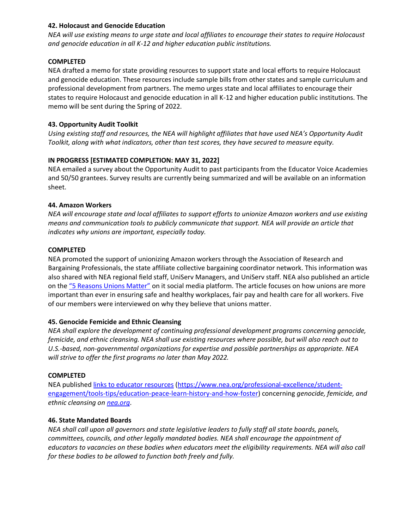### **42. Holocaust and Genocide Education**

*NEA will use existing means to urge state and local affiliates to encourage their states to require Holocaust and genocide education in all K-12 and higher education public institutions.*

### **COMPLETED**

NEA drafted a memo for state providing resources to support state and local efforts to require Holocaust and genocide education. These resources include sample bills from other states and sample curriculum and professional development from partners. The memo urges state and local affiliates to encourage their states to require Holocaust and genocide education in all K-12 and higher education public institutions. The memo will be sent during the Spring of 2022.

## **43. Opportunity Audit Toolkit**

*Using existing staff and resources, the NEA will highlight affiliates that have used NEA's Opportunity Audit Toolkit, along with what indicators, other than test scores, they have secured to measure equity.*

## **IN PROGRESS [ESTIMATED COMPLETION: MAY 31, 2022]**

NEA emailed a survey about the Opportunity Audit to past participants from the Educator Voice Academies and 50/50 grantees. Survey results are currently being summarized and will be available on an information sheet.

## **44. Amazon Workers**

*NEA will encourage state and local affiliates to support efforts to unionize Amazon workers and use existing means and communication tools to publicly communicate that support. NEA will provide an article that indicates why unions are important, especially today.*

## **COMPLETED**

NEA promoted the support of unionizing Amazon workers through the Association of Research and Bargaining Professionals, the state affiliate collective bargaining coordinator network. This information was also shared with NEA regional field staff, UniServ Managers, and UniServ staff. NEA also published an article on the ["5 Reasons Unions Matter"](https://www.nea.org/advocating-for-change/new-from-nea/5-reasons-unions-matter) on it social media platform. The article focuses on how unions are more important than ever in ensuring safe and healthy workplaces, fair pay and health care for all workers. Five of our members were interviewed on why they believe that unions matter.

## **45. Genocide Femicide and Ethnic Cleansing**

*NEA shall explore the development of continuing professional development programs concerning genocide, femicide, and ethnic cleansing. NEA shall use existing resources where possible, but will also reach out to U.S.-based, non-governmental organizations for expertise and possible partnerships as appropriate. NEA will strive to offer the first programs no later than May 2022.*

## **COMPLETED**

NEA publishe[d links to educator resources](https://www.nea.org/professional-excellence/student-engagement/tools-tips/education-peace-learn-history-and-how-foster) [\(https://www.nea.org/professional-excellence/student](https://www.nea.org/professional-excellence/student-engagement/tools-tips/education-peace-learn-history-and-how-foster)[engagement/tools-tips/education-peace-learn-history-and-how-foster\)](https://www.nea.org/professional-excellence/student-engagement/tools-tips/education-peace-learn-history-and-how-foster) concerning *genocide, femicide, and ethnic cleansing on [nea.org](https://www.nea.org/professional-excellence/student-engagement/tools-tips/education-peace-learn-history-and-how-foster)*.

#### **46. State Mandated Boards**

*NEA shall call upon all governors and state legislative leaders to fully staff all state boards, panels, committees, councils, and other legally mandated bodies. NEA shall encourage the appointment of educators to vacancies on these bodies when educators meet the eligibility requirements. NEA will also call for these bodies to be allowed to function both freely and fully.*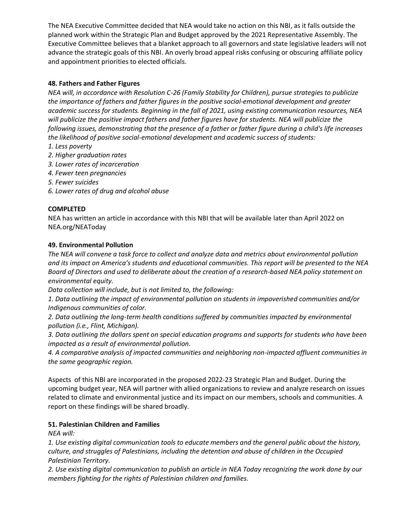The NEA Executive Committee decided that NEA would take no action on this NBI, as it falls outside the planned work within the Strategic Plan and Budget approved by the 2021 Representative Assembly. The Executive Committee believes that a blanket approach to all governors and state legislative leaders will not advance the strategic goals of this NBI. An overly broad appeal risks confusing or obscuring affiliate policy and appointment priorities to elected officials.

## **48. Fathers and Father Figures**

*NEA will, in accordance with Resolution C-26 (Family Stability for Children), pursue strategies to publicize the importance of fathers and father figures in the positive social-emotional development and greater academic success for students. Beginning in the fall of 2021, using existing communication resources, NEA will publicize the positive impact fathers and father figures have for students. NEA will publicize the following issues, demonstrating that the presence of a father or father figure during a child's life increases the likelihood of positive social-emotional development and academic success of students:*

- *1. Less poverty*
- *2. Higher graduation rates*
- *3. Lower rates of incarceration*
- *4. Fewer teen pregnancies*
- *5. Fewer suicides*
- *6. Lower rates of drug and alcohol abuse*

## **COMPLETED**

NEA has written an article in accordance with this NBI that will be available later than April 2022 on NEA.org/NEAToday

#### **49. Environmental Pollution**

*The NEA will convene a task force to collect and analyze data and metrics about environmental pollution and its impact on America's students and educational communities. This report will be presented to the NEA Board of Directors and used to deliberate about the creation of a research-based NEA policy statement on environmental equity.*

*Data collection will include, but is not limited to, the following:*

*1. Data outlining the impact of environmental pollution on students in impoverished communities and/or Indigenous communities of color.*

*2. Data outlining the long-term health conditions suffered by communities impacted by environmental pollution (i.e., Flint, Michigan).*

*3. Data outlining the dollars spent on special education programs and supports for students who have been impacted as a result of environmental pollution.*

*4. A comparative analysis of impacted communities and neighboring non-impacted affluent communities in the same geographic region.*

Aspects of this NBI are incorporated in the proposed 2022-23 Strategic Plan and Budget. During the upcoming budget year, NEA will partner with allied organizations to review and analyze research on issues related to climate and environmental justice and its impact on our members, schools and communities. A report on these findings will be shared broadly.

#### **51. Palestinian Children and Families**

*NEA will:*

*1. Use existing digital communication tools to educate members and the general public about the history, culture, and struggles of Palestinians, including the detention and abuse of children in the Occupied Palestinian Territory.*

*2. Use existing digital communication to publish an article in NEA Today recognizing the work done by our members fighting for the rights of Palestinian children and families.*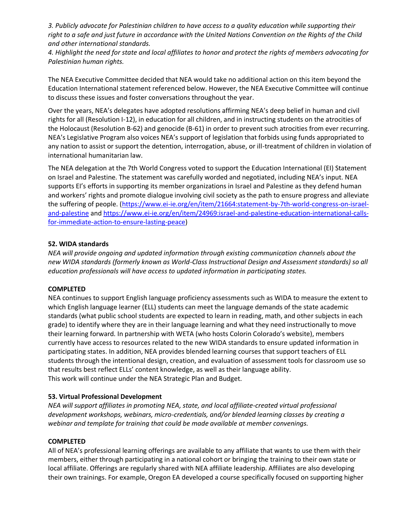*3. Publicly advocate for Palestinian children to have access to a quality education while supporting their right to a safe and just future in accordance with the United Nations Convention on the Rights of the Child and other international standards.*

*4. Highlight the need for state and local affiliates to honor and protect the rights of members advocating for Palestinian human rights.*

The NEA Executive Committee decided that NEA would take no additional action on this item beyond the Education International statement referenced below. However, the NEA Executive Committee will continue to discuss these issues and foster conversations throughout the year.

Over the years, NEA's delegates have adopted resolutions affirming NEA's deep belief in human and civil rights for all (Resolution I-12), in education for all children, and in instructing students on the atrocities of the Holocaust (Resolution B-62) and genocide (B-61) in order to prevent such atrocities from ever recurring. NEA's Legislative Program also voices NEA's support of legislation that forbids using funds appropriated to any nation to assist or support the detention, interrogation, abuse, or ill-treatment of children in violation of international humanitarian law.

The NEA delegation at the 7th World Congress voted to support the Education International (EI) Statement on Israel and Palestine. The statement was carefully worded and negotiated, including NEA's input. NEA supports EI's efforts in supporting its member organizations in Israel and Palestine as they defend human and workers' rights and promote dialogue involving civil society as the path to ensure progress and alleviate the suffering of people. (https://www.ei-ie.org/en/item/21664:statement-by-7th-world-congress-on-israeland-palestine and https://www.ei-ie.org/en/item/24969:israel-and-palestine-education-international-callsfor-immediate-action-to-ensure-lasting-peace)

#### **52. WIDA standards**

*NEA will provide ongoing and updated information through existing communication channels about the new WIDA standards (formerly known as World-Class Instructional Design and Assessment standards) so all education professionals will have access to updated information in participating states.*

#### **COMPLETED**

NEA continues to support English language proficiency assessments such as WIDA to measure the extent to which English language learner (ELL) students can meet the language demands of the state academic standards (what public school students are expected to learn in reading, math, and other subjects in each grade) to identify where they are in their language learning and what they need instructionally to move their learning forward. In partnership with WETA (who hosts Colorin Colorado's website), members currently have access to resources related to the new WIDA standards to ensure updated information in participating states. In addition, NEA provides blended learning courses that support teachers of ELL students through the intentional design, creation, and evaluation of assessment tools for classroom use so that results best reflect ELLs' content knowledge, as well as their language ability. This work will continue under the NEA Strategic Plan and Budget.

## **53. Virtual Professional Development**

*NEA will support affiliates in promoting NEA, state, and local affiliate-created virtual professional development workshops, webinars, micro-credentials, and/or blended learning classes by creating a webinar and template for training that could be made available at member convenings.*

#### **COMPLETED**

All of NEA's professional learning offerings are available to any affiliate that wants to use them with their members, either through participating in a national cohort or bringing the training to their own state or local affiliate. Offerings are regularly shared with NEA affiliate leadership. Affiliates are also developing their own trainings. For example, Oregon EA developed a course specifically focused on supporting higher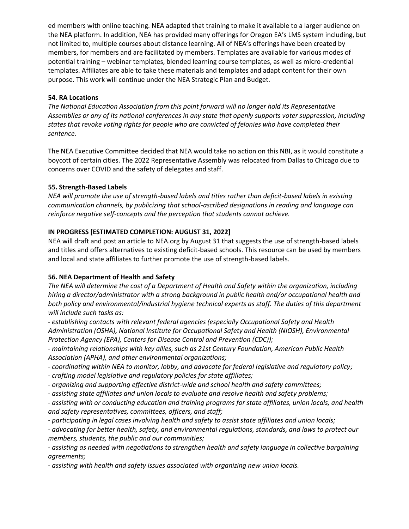ed members with online teaching. NEA adapted that training to make it available to a larger audience on the NEA platform. In addition, NEA has provided many offerings for Oregon EA's LMS system including, but not limited to, multiple courses about distance learning. All of NEA's offerings have been created by members, for members and are facilitated by members. Templates are available for various modes of potential training – webinar templates, blended learning course templates, as well as micro-credential templates. Affiliates are able to take these materials and templates and adapt content for their own purpose. This work will continue under the NEA Strategic Plan and Budget.

## **54. RA Locations**

*The National Education Association from this point forward will no longer hold its Representative Assemblies or any of its national conferences in any state that openly supports voter suppression, including states that revoke voting rights for people who are convicted of felonies who have completed their sentence.*

The NEA Executive Committee decided that NEA would take no action on this NBI, as it would constitute a boycott of certain cities. The 2022 Representative Assembly was relocated from Dallas to Chicago due to concerns over COVID and the safety of delegates and staff.

## **55. Strength-Based Labels**

*NEA will promote the use of strength-based labels and titles rather than deficit-based labels in existing communication channels, by publicizing that school-ascribed designations in reading and language can reinforce negative self-concepts and the perception that students cannot achieve.*

## **IN PROGRESS [ESTIMATED COMPLETION: AUGUST 31, 2022]**

NEA will draft and post an article to NEA.org by August 31 that suggests the use of strength-based labels and titles and offers alternatives to existing deficit-based schools. This resource can be used by members and local and state affiliates to further promote the use of strength-based labels.

## **56. NEA Department of Health and Safety**

*The NEA will determine the cost of a Department of Health and Safety within the organization, including hiring a director/administrator with a strong background in public health and/or occupational health and both policy and environmental/industrial hygiene technical experts as staff. The duties of this department will include such tasks as:*

*- establishing contacts with relevant federal agencies (especially Occupational Safety and Health Administration (OSHA), National Institute for Occupational Safety and Health (NIOSH), Environmental Protection Agency (EPA), Centers for Disease Control and Prevention (CDC));*

*- maintaining relationships with key allies, such as 21st Century Foundation, American Public Health Association (APHA), and other environmental organizations;*

- *- coordinating within NEA to monitor, lobby, and advocate for federal legislative and regulatory policy;*
- *- crafting model legislative and regulatory policies for state affiliates;*
- *- organizing and supporting effective district-wide and school health and safety committees;*
- *- assisting state affiliates and union locals to evaluate and resolve health and safety problems;*

*- assisting with or conducting education and training programs for state affiliates, union locals, and health and safety representatives, committees, officers, and staff;*

*- participating in legal cases involving health and safety to assist state affiliates and union locals;*

*- advocating for better health, safety, and environmental regulations, standards, and laws to protect our members, students, the public and our communities;*

*- assisting as needed with negotiations to strengthen health and safety language in collective bargaining agreements;*

*- assisting with health and safety issues associated with organizing new union locals.*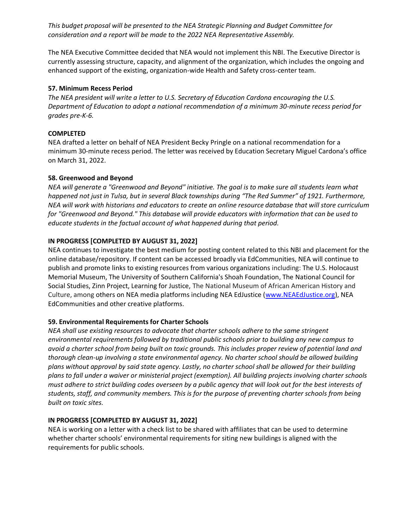*This budget proposal will be presented to the NEA Strategic Planning and Budget Committee for consideration and a report will be made to the 2022 NEA Representative Assembly.*

The NEA Executive Committee decided that NEA would not implement this NBI. The Executive Director is currently assessing structure, capacity, and alignment of the organization, which includes the ongoing and enhanced support of the existing, organization-wide Health and Safety cross-center team.

#### **57. Minimum Recess Period**

*The NEA president will write a letter to U.S. Secretary of Education Cardona encouraging the U.S. Department of Education to adopt a national recommendation of a minimum 30-minute recess period for grades pre-K-6.*

#### **COMPLETED**

NEA drafted a letter on behalf of NEA President Becky Pringle on a national recommendation for a minimum 30-minute recess period. The letter was received by Education Secretary Miguel Cardona's office on March 31, 2022.

#### **58. Greenwood and Beyond**

*NEA will generate a "Greenwood and Beyond" initiative. The goal is to make sure all students learn what happened not just in Tulsa, but in several Black townships during "The Red Summer" of 1921. Furthermore, NEA will work with historians and educators to create an online resource database that will store curriculum for "Greenwood and Beyond." This database will provide educators with information that can be used to educate students in the factual account of what happened during that period.*

#### **IN PROGRESS [COMPLETED BY AUGUST 31, 2022]**

NEA continues to investigate the best medium for posting content related to this NBI and placement for the online database/repository. If content can be accessed broadly via EdCommunities, NEA will continue to publish and promote links to existing resources from various organizations including: The U.S. Holocaust Memorial Museum, The University of Southern California's Shoah Foundation, The National Council for Social Studies, Zinn Project, Learning for Justice, The National Museum of African American History and Culture, among others on NEA media platforms including NEA EdJustice [\(www.NEAEdJustice.org\)](http://www.neaedjustice.org/), NEA EdCommunities and other creative platforms.

#### **59. Environmental Requirements for Charter Schools**

*NEA shall use existing resources to advocate that charter schools adhere to the same stringent environmental requirements followed by traditional public schools prior to building any new campus to avoid a charter school from being built on toxic grounds. This includes proper review of potential land and thorough clean-up involving a state environmental agency. No charter school should be allowed building plans without approval by said state agency. Lastly, no charter school shall be allowed for their building plans to fall under a waiver or ministerial project (exemption). All building projects involving charter schools must adhere to strict building codes overseen by a public agency that will look out for the best interests of students, staff, and community members. This is for the purpose of preventing charter schools from being built on toxic sites.*

#### **IN PROGRESS [COMPLETED BY AUGUST 31, 2022]**

NEA is working on a letter with a check list to be shared with affiliates that can be used to determine whether charter schools' environmental requirements for siting new buildings is aligned with the requirements for public schools.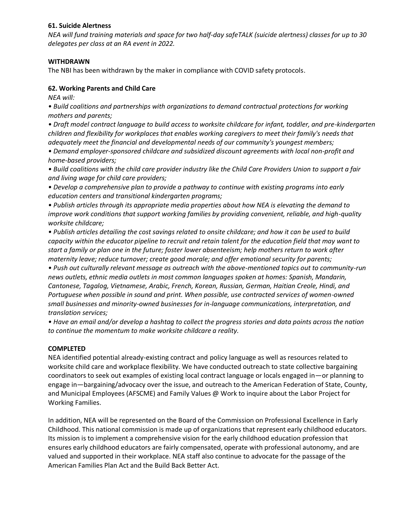### **61. Suicide Alertness**

*NEA will fund training materials and space for two half-day safeTALK (suicide alertness) classes for up to 30 delegates per class at an RA event in 2022.*

### **WITHDRAWN**

The NBI has been withdrawn by the maker in compliance with COVID safety protocols.

## **62. Working Parents and Child Care**

*NEA will:*

*• Build coalitions and partnerships with organizations to demand contractual protections for working mothers and parents;*

*• Draft model contract language to build access to worksite childcare for infant, toddler, and pre-kindergarten children and flexibility for workplaces that enables working caregivers to meet their family's needs that adequately meet the financial and developmental needs of our community's youngest members;*

*• Demand employer-sponsored childcare and subsidized discount agreements with local non-profit and home-based providers;*

*• Build coalitions with the child care provider industry like the Child Care Providers Union to support a fair and living wage for child care providers;*

*• Develop a comprehensive plan to provide a pathway to continue with existing programs into early education centers and transitional kindergarten programs;*

*• Publish articles through its appropriate media properties about how NEA is elevating the demand to improve work conditions that support working families by providing convenient, reliable, and high-quality worksite childcare;*

*• Publish articles detailing the cost savings related to onsite childcare; and how it can be used to build capacity within the educator pipeline to recruit and retain talent for the education field that may want to start a family or plan one in the future; foster lower absenteeism; help mothers return to work after maternity leave; reduce turnover; create good morale; and offer emotional security for parents;*

*• Push out culturally relevant message as outreach with the above-mentioned topics out to community-run news outlets, ethnic media outlets in most common languages spoken at homes: Spanish, Mandarin, Cantonese, Tagalog, Vietnamese, Arabic, French, Korean, Russian, German, Haitian Creole, Hindi, and Portuguese when possible in sound and print. When possible, use contracted services of women-owned small businesses and minority-owned businesses for in-language communications, interpretation, and translation services;*

*• Have an email and/or develop a hashtag to collect the progress stories and data points across the nation to continue the momentum to make worksite childcare a reality.*

## **COMPLETED**

NEA identified potential already-existing contract and policy language as well as resources related to worksite child care and workplace flexibility. We have conducted outreach to state collective bargaining coordinators to seek out examples of existing local contract language or locals engaged in—or planning to engage in—bargaining/advocacy over the issue, and outreach to the American Federation of State, County, and Municipal Employees (AFSCME) and Family Values @ Work to inquire about the Labor Project for Working Families.

In addition, NEA will be represented on the Board of the Commission on Professional Excellence in Early Childhood. This national commission is made up of organizations that represent early childhood educators. Its mission is to implement a comprehensive vision for the early childhood education profession that ensures early childhood educators are fairly compensated, operate with professional autonomy, and are valued and supported in their workplace. NEA staff also continue to advocate for the passage of the American Families Plan Act and the Build Back Better Act.